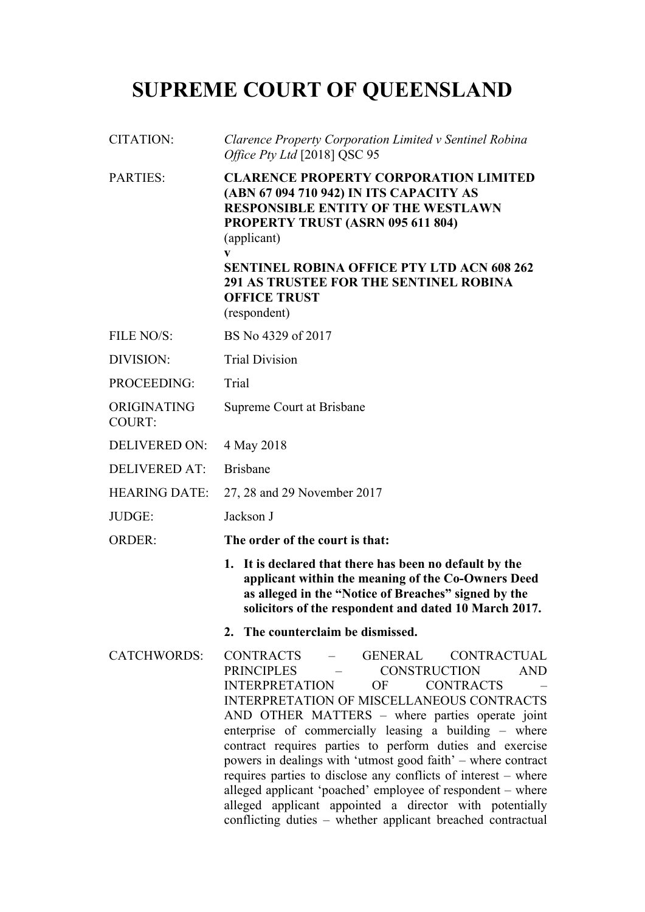# **SUPREME COURT OF QUEENSLAND**

| <b>CITATION:</b>      | Clarence Property Corporation Limited v Sentinel Robina<br>Office Pty Ltd [2018] QSC 95                                                                                                                                                                                                                                                                                                                                                                                                                                                                                                                                                                                                                    |
|-----------------------|------------------------------------------------------------------------------------------------------------------------------------------------------------------------------------------------------------------------------------------------------------------------------------------------------------------------------------------------------------------------------------------------------------------------------------------------------------------------------------------------------------------------------------------------------------------------------------------------------------------------------------------------------------------------------------------------------------|
| <b>PARTIES:</b>       | <b>CLARENCE PROPERTY CORPORATION LIMITED</b><br>(ABN 67 094 710 942) IN ITS CAPACITY AS<br><b>RESPONSIBLE ENTITY OF THE WESTLAWN</b><br>PROPERTY TRUST (ASRN 095 611 804)<br>(applicant)<br>V<br><b>SENTINEL ROBINA OFFICE PTY LTD ACN 608 262</b><br><b>291 AS TRUSTEE FOR THE SENTINEL ROBINA</b><br><b>OFFICE TRUST</b><br>(respondent)                                                                                                                                                                                                                                                                                                                                                                 |
| FILE NO/S:            | BS No 4329 of 2017                                                                                                                                                                                                                                                                                                                                                                                                                                                                                                                                                                                                                                                                                         |
| DIVISION:             | <b>Trial Division</b>                                                                                                                                                                                                                                                                                                                                                                                                                                                                                                                                                                                                                                                                                      |
| PROCEEDING:           | Trial                                                                                                                                                                                                                                                                                                                                                                                                                                                                                                                                                                                                                                                                                                      |
| ORIGINATING<br>COURT: | Supreme Court at Brisbane                                                                                                                                                                                                                                                                                                                                                                                                                                                                                                                                                                                                                                                                                  |
| <b>DELIVERED ON:</b>  | 4 May 2018                                                                                                                                                                                                                                                                                                                                                                                                                                                                                                                                                                                                                                                                                                 |
| <b>DELIVERED AT:</b>  | <b>Brisbane</b>                                                                                                                                                                                                                                                                                                                                                                                                                                                                                                                                                                                                                                                                                            |
| <b>HEARING DATE:</b>  | 27, 28 and 29 November 2017                                                                                                                                                                                                                                                                                                                                                                                                                                                                                                                                                                                                                                                                                |
| JUDGE:                | Jackson J                                                                                                                                                                                                                                                                                                                                                                                                                                                                                                                                                                                                                                                                                                  |
| <b>ORDER:</b>         | The order of the court is that:                                                                                                                                                                                                                                                                                                                                                                                                                                                                                                                                                                                                                                                                            |
|                       | 1. It is declared that there has been no default by the<br>applicant within the meaning of the Co-Owners Deed<br>as alleged in the "Notice of Breaches" signed by the<br>solicitors of the respondent and dated 10 March 2017.                                                                                                                                                                                                                                                                                                                                                                                                                                                                             |
|                       | 2. The counterclaim be dismissed.                                                                                                                                                                                                                                                                                                                                                                                                                                                                                                                                                                                                                                                                          |
| <b>CATCHWORDS:</b>    | - GENERAL<br>CONTRACTS<br><b>CONTRACTUAL</b><br>PRINCIPLES -<br><b>CONSTRUCTION</b><br><b>AND</b><br><b>INTERPRETATION</b><br><b>CONTRACTS</b><br>OF<br><b>INTERPRETATION OF MISCELLANEOUS CONTRACTS</b><br>AND OTHER MATTERS - where parties operate joint<br>enterprise of commercially leasing a building - where<br>contract requires parties to perform duties and exercise<br>powers in dealings with 'utmost good faith' - where contract<br>requires parties to disclose any conflicts of interest – where<br>alleged applicant 'poached' employee of respondent - where<br>alleged applicant appointed a director with potentially<br>conflicting duties - whether applicant breached contractual |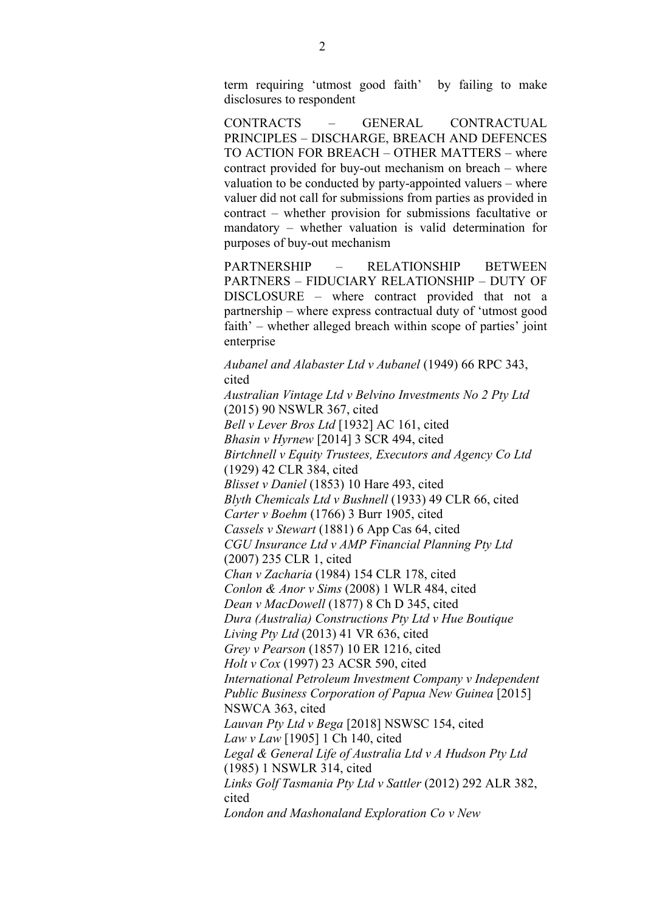term requiring 'utmost good faith' by failing to make disclosures to respondent

CONTRACTS – GENERAL CONTRACTUAL PRINCIPLES – DISCHARGE, BREACH AND DEFENCES TO ACTION FOR BREACH – OTHER MATTERS – where contract provided for buy-out mechanism on breach – where valuation to be conducted by party-appointed valuers – where valuer did not call for submissions from parties as provided in contract – whether provision for submissions facultative or mandatory – whether valuation is valid determination for purposes of buy-out mechanism

PARTNERSHIP – RELATIONSHIP BETWEEN PARTNERS – FIDUCIARY RELATIONSHIP – DUTY OF DISCLOSURE – where contract provided that not a partnership – where express contractual duty of 'utmost good faith' – whether alleged breach within scope of parties' joint enterprise

*Aubanel and Alabaster Ltd v Aubanel* (1949) 66 RPC 343, cited *Australian Vintage Ltd v Belvino Investments No 2 Pty Ltd* (2015) 90 NSWLR 367, cited *Bell v Lever Bros Ltd* [1932] AC 161, cited *Bhasin v Hyrnew* [2014] 3 SCR 494, cited *Birtchnell v Equity Trustees, Executors and Agency Co Ltd*  (1929) 42 CLR 384, cited *Blisset v Daniel* (1853) 10 Hare 493, cited *Blyth Chemicals Ltd v Bushnell* (1933) 49 CLR 66, cited *Carter v Boehm* (1766) 3 Burr 1905, cited *Cassels v Stewart* (1881) 6 App Cas 64, cited *CGU Insurance Ltd v AMP Financial Planning Pty Ltd*  (2007) 235 CLR 1, cited *Chan v Zacharia* (1984) 154 CLR 178, cited *Conlon & Anor v Sims* (2008) 1 WLR 484, cited *Dean v MacDowell* (1877) 8 Ch D 345, cited *Dura (Australia) Constructions Pty Ltd v Hue Boutique Living Pty Ltd* (2013) 41 VR 636, cited *Grey v Pearson* (1857) 10 ER 1216, cited *Holt v Cox* (1997) 23 ACSR 590, cited *International Petroleum Investment Company v Independent Public Business Corporation of Papua New Guinea* [2015] NSWCA 363, cited *Lauvan Pty Ltd v Bega* [2018] NSWSC 154, cited *Law v Law* [1905] 1 Ch 140, cited *Legal & General Life of Australia Ltd v A Hudson Pty Ltd*  (1985) 1 NSWLR 314, cited *Links Golf Tasmania Pty Ltd v Sattler* (2012) 292 ALR 382, cited *London and Mashonaland Exploration Co v New*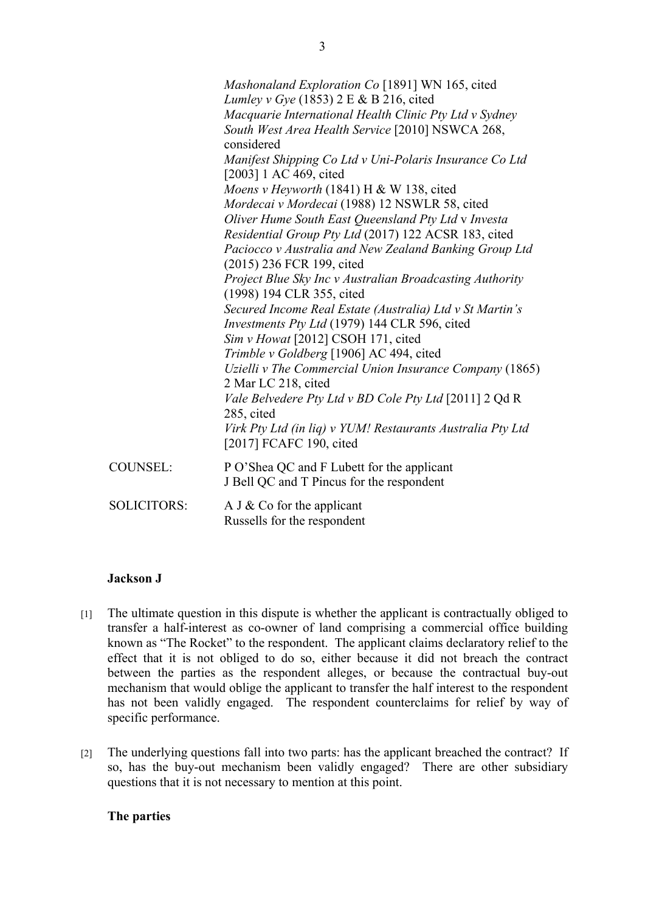|                    | Mashonaland Exploration Co [1891] WN 165, cited<br>Lumley v Gye (1853) $2 \text{ E} \& B 216$ , cited<br>Macquarie International Health Clinic Pty Ltd v Sydney<br>South West Area Health Service [2010] NSWCA 268,<br>considered<br>Manifest Shipping Co Ltd v Uni-Polaris Insurance Co Ltd<br>[2003] 1 AC 469, cited<br>Moens v Heyworth (1841) H & W 138, cited<br>Mordecai v Mordecai (1988) 12 NSWLR 58, cited<br>Oliver Hume South East Queensland Pty Ltd v Investa<br>Residential Group Pty Ltd (2017) 122 ACSR 183, cited<br>Paciocco v Australia and New Zealand Banking Group Ltd<br>(2015) 236 FCR 199, cited<br>Project Blue Sky Inc v Australian Broadcasting Authority<br>(1998) 194 CLR 355, cited<br>Secured Income Real Estate (Australia) Ltd v St Martin's<br>Investments Pty Ltd (1979) 144 CLR 596, cited<br>Sim v Howat [2012] CSOH 171, cited<br>Trimble v Goldberg [1906] AC 494, cited<br>Uzielli v The Commercial Union Insurance Company (1865)<br>2 Mar LC 218, cited<br>Vale Belvedere Pty Ltd v BD Cole Pty Ltd [2011] 2 Qd R<br>285, cited<br>Virk Pty Ltd (in liq) v YUM! Restaurants Australia Pty Ltd |
|--------------------|------------------------------------------------------------------------------------------------------------------------------------------------------------------------------------------------------------------------------------------------------------------------------------------------------------------------------------------------------------------------------------------------------------------------------------------------------------------------------------------------------------------------------------------------------------------------------------------------------------------------------------------------------------------------------------------------------------------------------------------------------------------------------------------------------------------------------------------------------------------------------------------------------------------------------------------------------------------------------------------------------------------------------------------------------------------------------------------------------------------------------------------|
|                    | [2017] FCAFC 190, cited                                                                                                                                                                                                                                                                                                                                                                                                                                                                                                                                                                                                                                                                                                                                                                                                                                                                                                                                                                                                                                                                                                                  |
| <b>COUNSEL:</b>    | P O'Shea QC and F Lubett for the applicant<br>J Bell QC and T Pincus for the respondent                                                                                                                                                                                                                                                                                                                                                                                                                                                                                                                                                                                                                                                                                                                                                                                                                                                                                                                                                                                                                                                  |
| <b>SOLICITORS:</b> | A J $&$ Co for the applicant<br>Russells for the respondent                                                                                                                                                                                                                                                                                                                                                                                                                                                                                                                                                                                                                                                                                                                                                                                                                                                                                                                                                                                                                                                                              |

## **Jackson J**

- [1] The ultimate question in this dispute is whether the applicant is contractually obliged to transfer a half-interest as co-owner of land comprising a commercial office building known as "The Rocket" to the respondent. The applicant claims declaratory relief to the effect that it is not obliged to do so, either because it did not breach the contract between the parties as the respondent alleges, or because the contractual buy-out mechanism that would oblige the applicant to transfer the half interest to the respondent has not been validly engaged. The respondent counterclaims for relief by way of specific performance.
- [2] The underlying questions fall into two parts: has the applicant breached the contract? If so, has the buy-out mechanism been validly engaged? There are other subsidiary questions that it is not necessary to mention at this point.

# **The parties**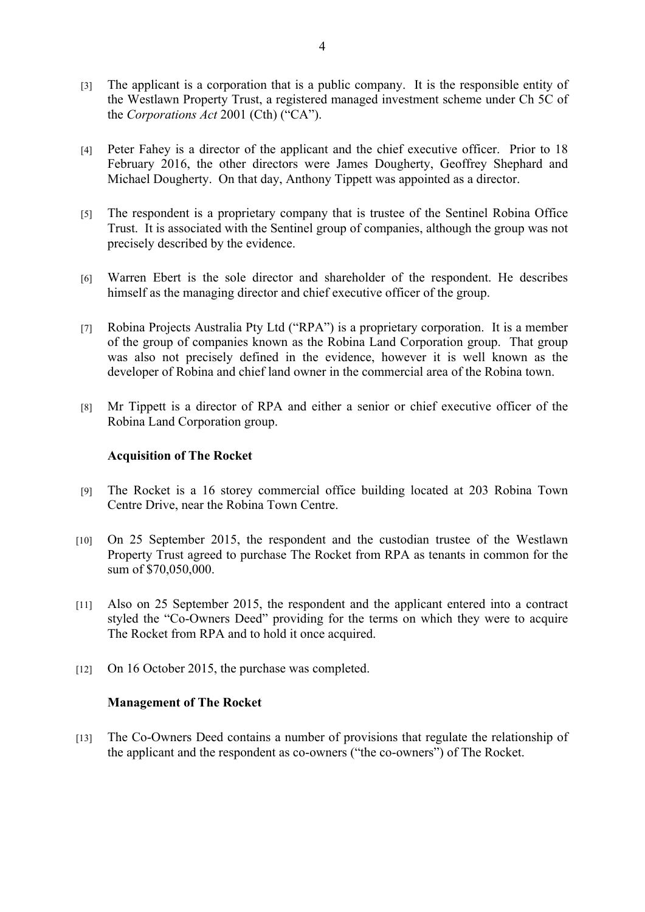- [3] The applicant is a corporation that is a public company. It is the responsible entity of the Westlawn Property Trust, a registered managed investment scheme under Ch 5C of the *Corporations Act* 2001 (Cth) ("CA").
- [4] Peter Fahey is a director of the applicant and the chief executive officer. Prior to 18 February 2016, the other directors were James Dougherty, Geoffrey Shephard and Michael Dougherty. On that day, Anthony Tippett was appointed as a director.
- [5] The respondent is a proprietary company that is trustee of the Sentinel Robina Office Trust. It is associated with the Sentinel group of companies, although the group was not precisely described by the evidence.
- [6] Warren Ebert is the sole director and shareholder of the respondent. He describes himself as the managing director and chief executive officer of the group.
- [7] Robina Projects Australia Pty Ltd ("RPA") is a proprietary corporation. It is a member of the group of companies known as the Robina Land Corporation group. That group was also not precisely defined in the evidence, however it is well known as the developer of Robina and chief land owner in the commercial area of the Robina town.
- [8] Mr Tippett is a director of RPA and either a senior or chief executive officer of the Robina Land Corporation group.

## **Acquisition of The Rocket**

- [9] The Rocket is a 16 storey commercial office building located at 203 Robina Town Centre Drive, near the Robina Town Centre.
- [10] On 25 September 2015, the respondent and the custodian trustee of the Westlawn Property Trust agreed to purchase The Rocket from RPA as tenants in common for the sum of \$70,050,000.
- [11] Also on 25 September 2015, the respondent and the applicant entered into a contract styled the "Co-Owners Deed" providing for the terms on which they were to acquire The Rocket from RPA and to hold it once acquired.
- [12] On 16 October 2015, the purchase was completed.

#### **Management of The Rocket**

[13] The Co-Owners Deed contains a number of provisions that regulate the relationship of the applicant and the respondent as co-owners ("the co-owners") of The Rocket.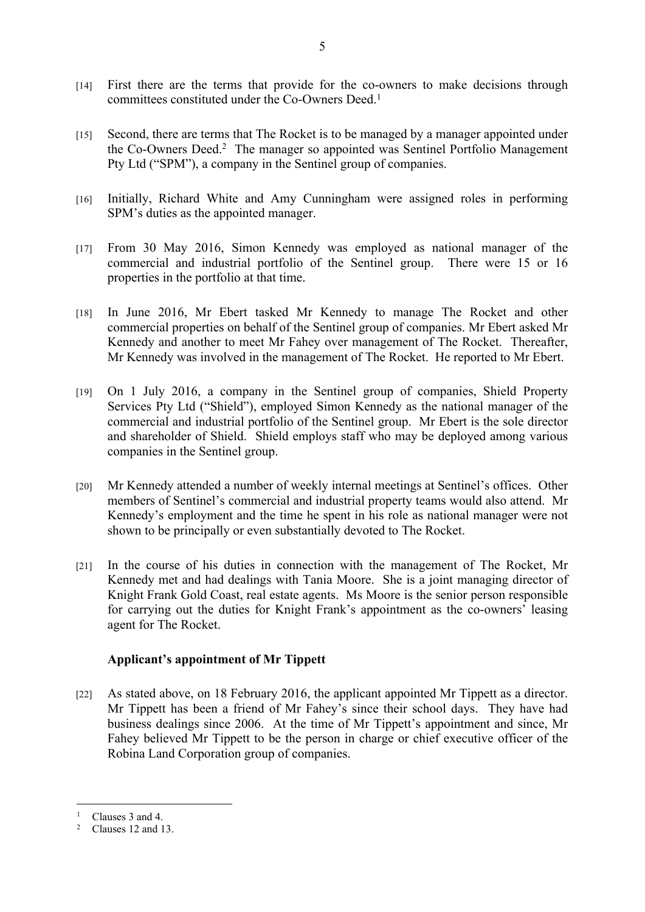- [14] First there are the terms that provide for the co-owners to make decisions through committees constituted under the Co-Owners Deed.<sup>1</sup>
- [15] Second, there are terms that The Rocket is to be managed by a manager appointed under the Co-Owners Deed.<sup>2</sup> The manager so appointed was Sentinel Portfolio Management Pty Ltd ("SPM"), a company in the Sentinel group of companies.
- [16] Initially, Richard White and Amy Cunningham were assigned roles in performing SPM's duties as the appointed manager.
- [17] From 30 May 2016, Simon Kennedy was employed as national manager of the commercial and industrial portfolio of the Sentinel group. There were 15 or 16 properties in the portfolio at that time.
- [18] In June 2016, Mr Ebert tasked Mr Kennedy to manage The Rocket and other commercial properties on behalf of the Sentinel group of companies. Mr Ebert asked Mr Kennedy and another to meet Mr Fahey over management of The Rocket. Thereafter, Mr Kennedy was involved in the management of The Rocket. He reported to Mr Ebert.
- [19] On 1 July 2016, a company in the Sentinel group of companies, Shield Property Services Pty Ltd ("Shield"), employed Simon Kennedy as the national manager of the commercial and industrial portfolio of the Sentinel group. Mr Ebert is the sole director and shareholder of Shield. Shield employs staff who may be deployed among various companies in the Sentinel group.
- [20] Mr Kennedy attended a number of weekly internal meetings at Sentinel's offices. Other members of Sentinel's commercial and industrial property teams would also attend. Mr Kennedy's employment and the time he spent in his role as national manager were not shown to be principally or even substantially devoted to The Rocket.
- [21] In the course of his duties in connection with the management of The Rocket, Mr Kennedy met and had dealings with Tania Moore. She is a joint managing director of Knight Frank Gold Coast, real estate agents. Ms Moore is the senior person responsible for carrying out the duties for Knight Frank's appointment as the co-owners' leasing agent for The Rocket.

## **Applicant's appointment of Mr Tippett**

[22] As stated above, on 18 February 2016, the applicant appointed Mr Tippett as a director. Mr Tippett has been a friend of Mr Fahey's since their school days. They have had business dealings since 2006. At the time of Mr Tippett's appointment and since, Mr Fahey believed Mr Tippett to be the person in charge or chief executive officer of the Robina Land Corporation group of companies.

<sup>&</sup>lt;sup>1</sup> Clauses 3 and 4.

<sup>2</sup> Clauses 12 and 13.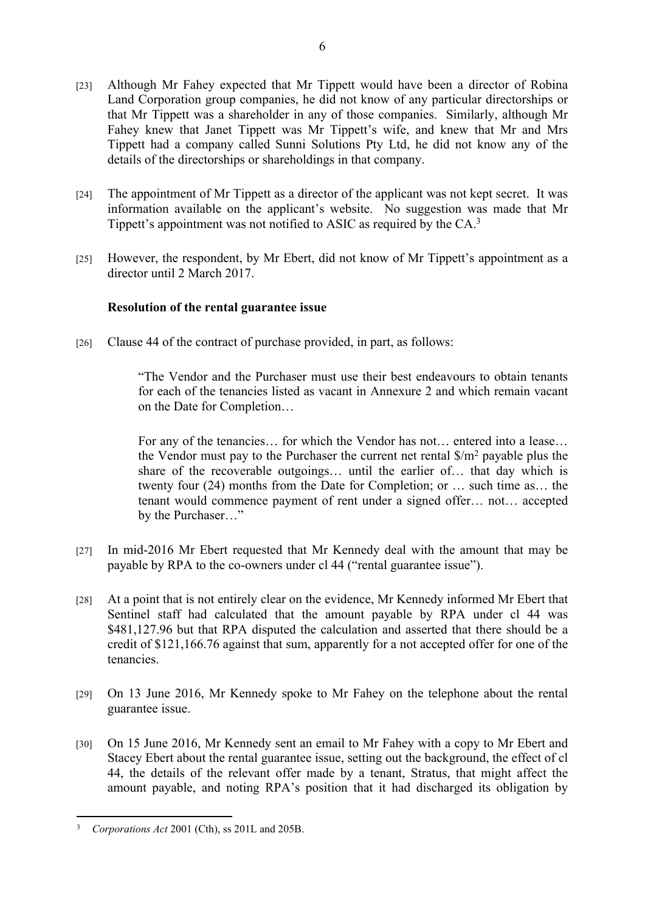- [23] Although Mr Fahey expected that Mr Tippett would have been a director of Robina Land Corporation group companies, he did not know of any particular directorships or that Mr Tippett was a shareholder in any of those companies. Similarly, although Mr Fahey knew that Janet Tippett was Mr Tippett's wife, and knew that Mr and Mrs Tippett had a company called Sunni Solutions Pty Ltd, he did not know any of the details of the directorships or shareholdings in that company.
- [24] The appointment of Mr Tippett as a director of the applicant was not kept secret. It was information available on the applicant's website. No suggestion was made that Mr Tippett's appointment was not notified to ASIC as required by the CA.<sup>3</sup>
- [25] However, the respondent, by Mr Ebert, did not know of Mr Tippett's appointment as a director until 2 March 2017.

# **Resolution of the rental guarantee issue**

[26] Clause 44 of the contract of purchase provided, in part, as follows:

"The Vendor and the Purchaser must use their best endeavours to obtain tenants for each of the tenancies listed as vacant in Annexure 2 and which remain vacant on the Date for Completion…

For any of the tenancies… for which the Vendor has not… entered into a lease… the Vendor must pay to the Purchaser the current net rental  $\gamma/m^2$  payable plus the share of the recoverable outgoings… until the earlier of… that day which is twenty four (24) months from the Date for Completion; or … such time as… the tenant would commence payment of rent under a signed offer… not… accepted by the Purchaser…"

- [27] In mid-2016 Mr Ebert requested that Mr Kennedy deal with the amount that may be payable by RPA to the co-owners under cl 44 ("rental guarantee issue").
- [28] At a point that is not entirely clear on the evidence, Mr Kennedy informed Mr Ebert that Sentinel staff had calculated that the amount payable by RPA under cl 44 was \$481,127.96 but that RPA disputed the calculation and asserted that there should be a credit of \$121,166.76 against that sum, apparently for a not accepted offer for one of the tenancies.
- [29] On 13 June 2016, Mr Kennedy spoke to Mr Fahey on the telephone about the rental guarantee issue.
- [30] On 15 June 2016, Mr Kennedy sent an email to Mr Fahey with a copy to Mr Ebert and Stacey Ebert about the rental guarantee issue, setting out the background, the effect of cl 44, the details of the relevant offer made by a tenant, Stratus, that might affect the amount payable, and noting RPA's position that it had discharged its obligation by

<sup>3</sup> *Corporations Act* 2001 (Cth), ss 201L and 205B.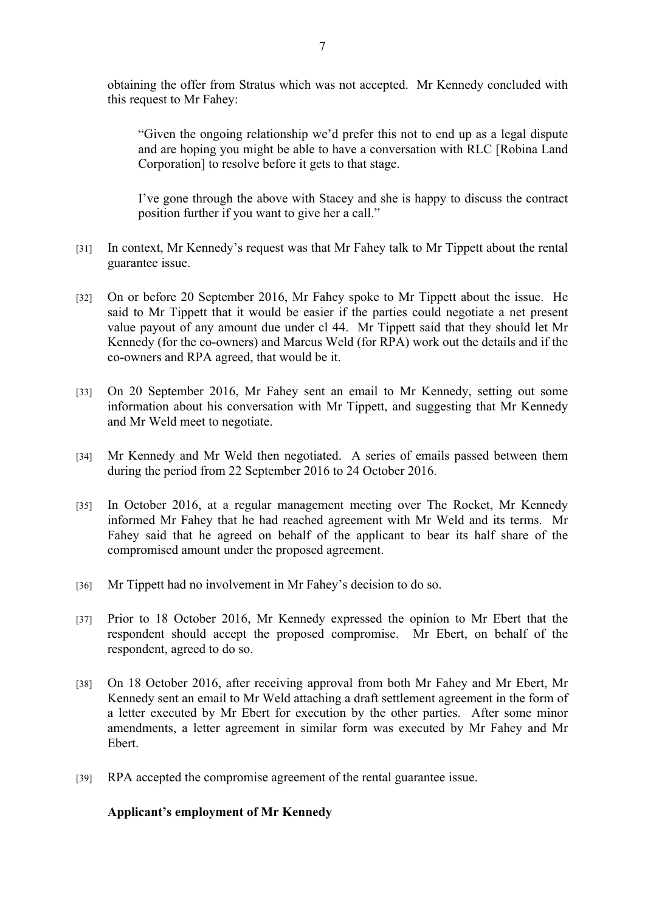obtaining the offer from Stratus which was not accepted. Mr Kennedy concluded with this request to Mr Fahey:

"Given the ongoing relationship we'd prefer this not to end up as a legal dispute and are hoping you might be able to have a conversation with RLC [Robina Land Corporation] to resolve before it gets to that stage.

I've gone through the above with Stacey and she is happy to discuss the contract position further if you want to give her a call."

- [31] In context, Mr Kennedy's request was that Mr Fahey talk to Mr Tippett about the rental guarantee issue.
- [32] On or before 20 September 2016, Mr Fahey spoke to Mr Tippett about the issue. He said to Mr Tippett that it would be easier if the parties could negotiate a net present value payout of any amount due under cl 44. Mr Tippett said that they should let Mr Kennedy (for the co-owners) and Marcus Weld (for RPA) work out the details and if the co-owners and RPA agreed, that would be it.
- [33] On 20 September 2016, Mr Fahey sent an email to Mr Kennedy, setting out some information about his conversation with Mr Tippett, and suggesting that Mr Kennedy and Mr Weld meet to negotiate.
- [34] Mr Kennedy and Mr Weld then negotiated. A series of emails passed between them during the period from 22 September 2016 to 24 October 2016.
- [35] In October 2016, at a regular management meeting over The Rocket, Mr Kennedy informed Mr Fahey that he had reached agreement with Mr Weld and its terms. Mr Fahey said that he agreed on behalf of the applicant to bear its half share of the compromised amount under the proposed agreement.
- [36] Mr Tippett had no involvement in Mr Fahey's decision to do so.
- [37] Prior to 18 October 2016, Mr Kennedy expressed the opinion to Mr Ebert that the respondent should accept the proposed compromise. Mr Ebert, on behalf of the respondent, agreed to do so.
- [38] On 18 October 2016, after receiving approval from both Mr Fahey and Mr Ebert, Mr Kennedy sent an email to Mr Weld attaching a draft settlement agreement in the form of a letter executed by Mr Ebert for execution by the other parties. After some minor amendments, a letter agreement in similar form was executed by Mr Fahey and Mr Ebert.
- [39] RPA accepted the compromise agreement of the rental guarantee issue.

## **Applicant's employment of Mr Kennedy**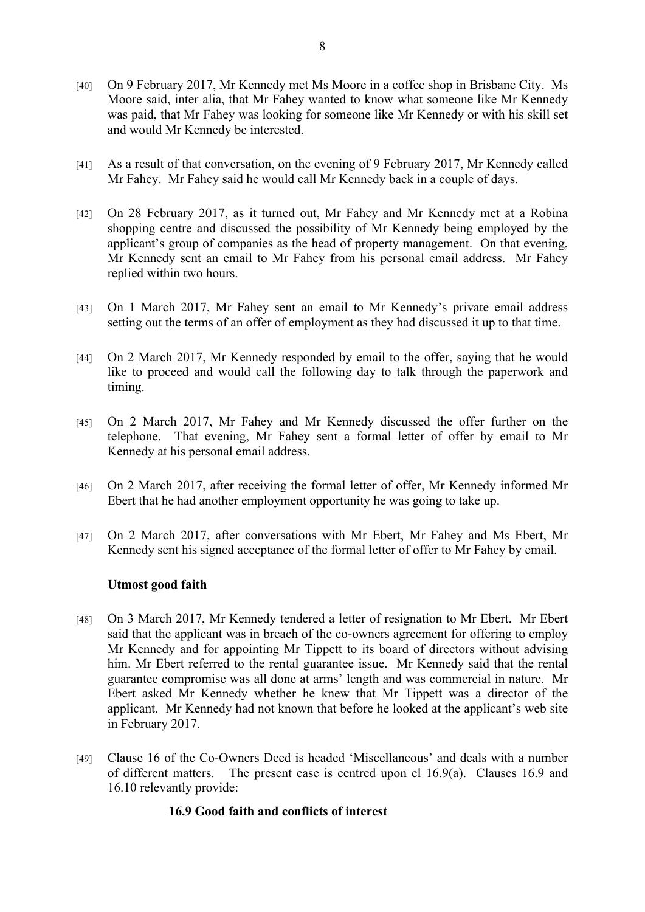- [40] On 9 February 2017, Mr Kennedy met Ms Moore in a coffee shop in Brisbane City. Ms Moore said, inter alia, that Mr Fahey wanted to know what someone like Mr Kennedy was paid, that Mr Fahey was looking for someone like Mr Kennedy or with his skill set and would Mr Kennedy be interested.
- [41] As a result of that conversation, on the evening of 9 February 2017, Mr Kennedy called Mr Fahey. Mr Fahey said he would call Mr Kennedy back in a couple of days.
- [42] On 28 February 2017, as it turned out, Mr Fahey and Mr Kennedy met at a Robina shopping centre and discussed the possibility of Mr Kennedy being employed by the applicant's group of companies as the head of property management. On that evening, Mr Kennedy sent an email to Mr Fahey from his personal email address. Mr Fahey replied within two hours.
- [43] On 1 March 2017, Mr Fahey sent an email to Mr Kennedy's private email address setting out the terms of an offer of employment as they had discussed it up to that time.
- [44] On 2 March 2017, Mr Kennedy responded by email to the offer, saying that he would like to proceed and would call the following day to talk through the paperwork and timing.
- [45] On 2 March 2017, Mr Fahey and Mr Kennedy discussed the offer further on the telephone. That evening, Mr Fahey sent a formal letter of offer by email to Mr Kennedy at his personal email address.
- [46] On 2 March 2017, after receiving the formal letter of offer, Mr Kennedy informed Mr Ebert that he had another employment opportunity he was going to take up.
- [47] On 2 March 2017, after conversations with Mr Ebert, Mr Fahey and Ms Ebert, Mr Kennedy sent his signed acceptance of the formal letter of offer to Mr Fahey by email.

## **Utmost good faith**

- [48] On 3 March 2017, Mr Kennedy tendered a letter of resignation to Mr Ebert. Mr Ebert said that the applicant was in breach of the co-owners agreement for offering to employ Mr Kennedy and for appointing Mr Tippett to its board of directors without advising him. Mr Ebert referred to the rental guarantee issue. Mr Kennedy said that the rental guarantee compromise was all done at arms' length and was commercial in nature. Mr Ebert asked Mr Kennedy whether he knew that Mr Tippett was a director of the applicant. Mr Kennedy had not known that before he looked at the applicant's web site in February 2017.
- [49] Clause 16 of the Co-Owners Deed is headed 'Miscellaneous' and deals with a number of different matters. The present case is centred upon cl 16.9(a). Clauses 16.9 and 16.10 relevantly provide:

## **16.9 Good faith and conflicts of interest**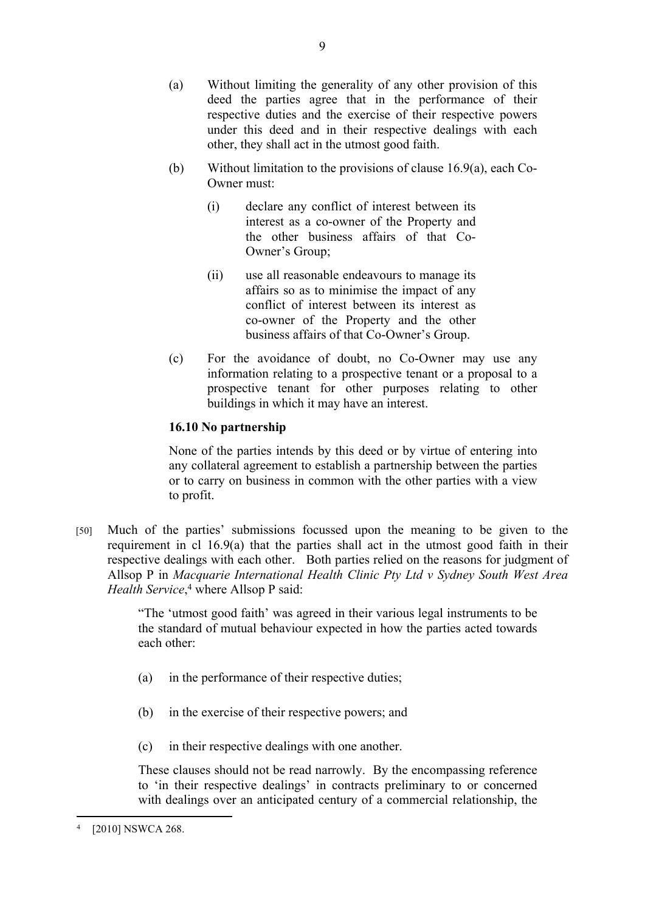- (a) Without limiting the generality of any other provision of this deed the parties agree that in the performance of their respective duties and the exercise of their respective powers under this deed and in their respective dealings with each other, they shall act in the utmost good faith.
- (b) Without limitation to the provisions of clause 16.9(a), each Co-Owner must:
	- (i) declare any conflict of interest between its interest as a co-owner of the Property and the other business affairs of that Co-Owner's Group;
	- (ii) use all reasonable endeavours to manage its affairs so as to minimise the impact of any conflict of interest between its interest as co-owner of the Property and the other business affairs of that Co-Owner's Group.
- (c) For the avoidance of doubt, no Co-Owner may use any information relating to a prospective tenant or a proposal to a prospective tenant for other purposes relating to other buildings in which it may have an interest.

# **16.10 No partnership**

None of the parties intends by this deed or by virtue of entering into any collateral agreement to establish a partnership between the parties or to carry on business in common with the other parties with a view to profit.

[50] Much of the parties' submissions focussed upon the meaning to be given to the requirement in cl 16.9(a) that the parties shall act in the utmost good faith in their respective dealings with each other. Both parties relied on the reasons for judgment of Allsop P in *Macquarie International Health Clinic Pty Ltd v Sydney South West Area*  Health Service,<sup>4</sup> where Allsop P said:

> "The 'utmost good faith' was agreed in their various legal instruments to be the standard of mutual behaviour expected in how the parties acted towards each other:

- (a) in the performance of their respective duties;
- (b) in the exercise of their respective powers; and
- (c) in their respective dealings with one another.

These clauses should not be read narrowly. By the encompassing reference to 'in their respective dealings' in contracts preliminary to or concerned with dealings over an anticipated century of a commercial relationship, the

<sup>4</sup> [2010] NSWCA 268.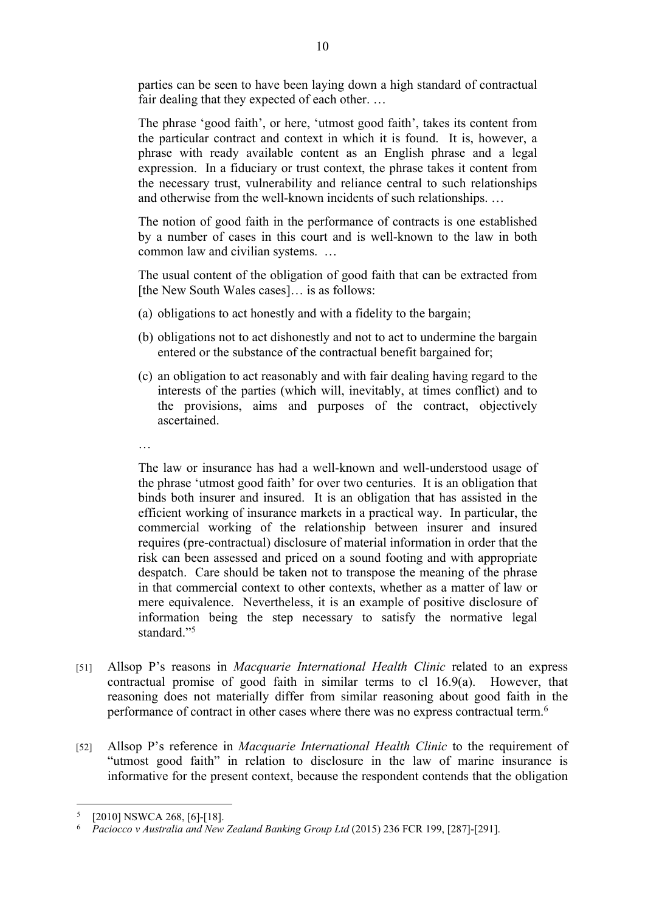parties can be seen to have been laying down a high standard of contractual fair dealing that they expected of each other. …

The phrase 'good faith', or here, 'utmost good faith', takes its content from the particular contract and context in which it is found. It is, however, a phrase with ready available content as an English phrase and a legal expression. In a fiduciary or trust context, the phrase takes it content from the necessary trust, vulnerability and reliance central to such relationships and otherwise from the well-known incidents of such relationships. …

The notion of good faith in the performance of contracts is one established by a number of cases in this court and is well-known to the law in both common law and civilian systems. …

The usual content of the obligation of good faith that can be extracted from [the New South Wales cases]… is as follows:

- (a) obligations to act honestly and with a fidelity to the bargain;
- (b) obligations not to act dishonestly and not to act to undermine the bargain entered or the substance of the contractual benefit bargained for;
- (c) an obligation to act reasonably and with fair dealing having regard to the interests of the parties (which will, inevitably, at times conflict) and to the provisions, aims and purposes of the contract, objectively ascertained.
- …

The law or insurance has had a well-known and well-understood usage of the phrase 'utmost good faith' for over two centuries. It is an obligation that binds both insurer and insured. It is an obligation that has assisted in the efficient working of insurance markets in a practical way. In particular, the commercial working of the relationship between insurer and insured requires (pre-contractual) disclosure of material information in order that the risk can been assessed and priced on a sound footing and with appropriate despatch. Care should be taken not to transpose the meaning of the phrase in that commercial context to other contexts, whether as a matter of law or mere equivalence. Nevertheless, it is an example of positive disclosure of information being the step necessary to satisfy the normative legal standard."<sup>5</sup>

- [51] Allsop P's reasons in *Macquarie International Health Clinic* related to an express contractual promise of good faith in similar terms to cl 16.9(a). However, that reasoning does not materially differ from similar reasoning about good faith in the performance of contract in other cases where there was no express contractual term.<sup>6</sup>
- [52] Allsop P's reference in *Macquarie International Health Clinic* to the requirement of "utmost good faith" in relation to disclosure in the law of marine insurance is informative for the present context, because the respondent contends that the obligation

<sup>5</sup> [2010] NSWCA 268, [6]-[18].

<sup>6</sup> *Paciocco v Australia and New Zealand Banking Group Ltd* (2015) 236 FCR 199, [287]-[291].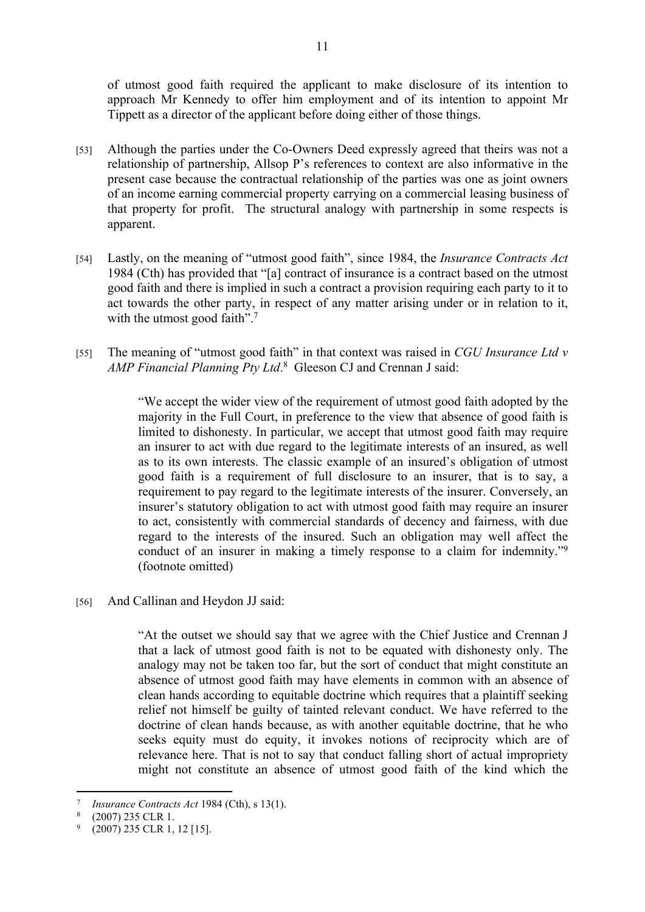of utmost good faith required the applicant to make disclosure of its intention to approach Mr Kennedy to offer him employment and of its intention to appoint Mr Tippett as a director of the applicant before doing either of those things.

- [53] Although the parties under the Co-Owners Deed expressly agreed that theirs was not a relationship of partnership, Allsop P's references to context are also informative in the present case because the contractual relationship of the parties was one as joint owners of an income earning commercial property carrying on a commercial leasing business of that property for profit. The structural analogy with partnership in some respects is apparent.
- [54] Lastly, on the meaning of "utmost good faith", since 1984, the *Insurance Contracts Act*  1984 (Cth) has provided that "[a] contract of insurance is a contract based on the utmost good faith and there is implied in such a contract a provision requiring each party to it to act towards the other party, in respect of any matter arising under or in relation to it, with the utmost good faith".<sup>7</sup>
- [55] The meaning of "utmost good faith" in that context was raised in *CGU Insurance Ltd v AMP Financial Planning Pty Ltd*. 8 Gleeson CJ and Crennan J said:

"We accept the wider view of the requirement of utmost good faith adopted by the majority in the Full Court, in preference to the view that absence of good faith is limited to dishonesty. In particular, we accept that utmost good faith may require an insurer to act with due regard to the legitimate interests of an insured, as well as to its own interests. The classic example of an insured's obligation of utmost good faith is a requirement of full disclosure to an insurer, that is to say, a requirement to pay regard to the legitimate interests of the insurer. Conversely, an insurer's statutory obligation to act with utmost good faith may require an insurer to act, consistently with commercial standards of decency and fairness, with due regard to the interests of the insured. Such an obligation may well affect the conduct of an insurer in making a timely response to a claim for indemnity."<sup>9</sup> (footnote omitted)

[56] And Callinan and Heydon JJ said:

"At the outset we should say that we agree with the Chief Justice and Crennan J that a lack of utmost good faith is not to be equated with dishonesty only. The analogy may not be taken too far, but the sort of conduct that might constitute an absence of utmost good faith may have elements in common with an absence of clean hands according to equitable doctrine which requires that a plaintiff seeking relief not himself be guilty of tainted relevant conduct. We have referred to the doctrine of clean hands because, as with another equitable doctrine, that he who seeks equity must do equity, it invokes notions of reciprocity which are of relevance here. That is not to say that conduct falling short of actual impropriety might not constitute an absence of utmost good faith of the kind which the

<sup>7</sup> *Insurance Contracts Act* 1984 (Cth), s 13(1).

<sup>8</sup> (2007) 235 CLR 1.

<sup>9</sup> (2007) 235 CLR 1, 12 [15].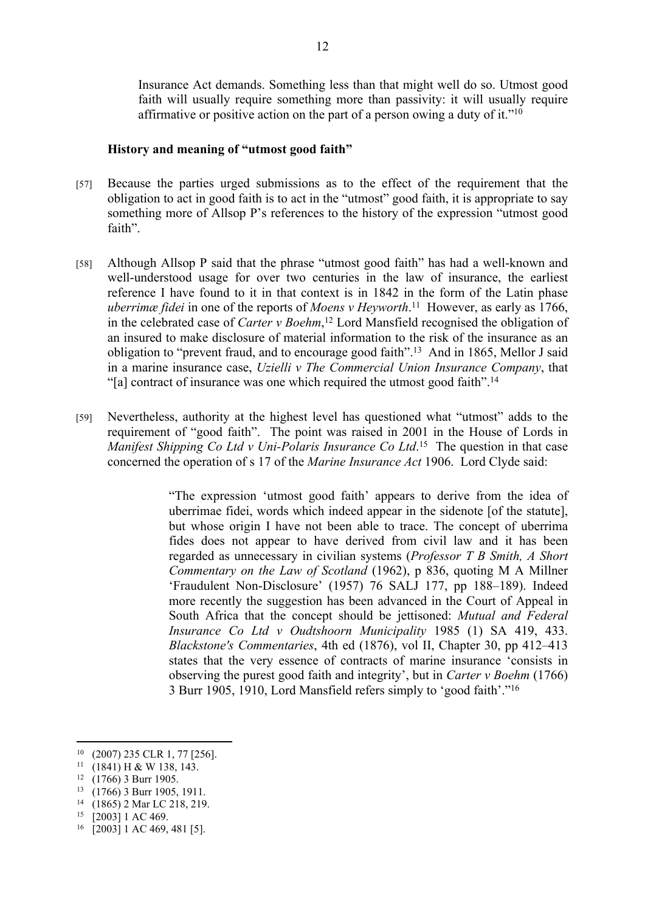Insurance Act demands. Something less than that might well do so. Utmost good faith will usually require something more than passivity: it will usually require affirmative or positive action on the part of a person owing a duty of it."<sup>10</sup>

## **History and meaning of "utmost good faith"**

- [57] Because the parties urged submissions as to the effect of the requirement that the obligation to act in good faith is to act in the "utmost" good faith, it is appropriate to say something more of Allsop P's references to the history of the expression "utmost good faith".
- [58] Although Allsop P said that the phrase "utmost good faith" has had a well-known and well-understood usage for over two centuries in the law of insurance, the earliest reference I have found to it in that context is in 1842 in the form of the Latin phase *uberrimæ fidei* in one of the reports of *Moens v Heyworth*.<sup>11</sup> However, as early as 1766, in the celebrated case of *Carter v Boehm*, <sup>12</sup> Lord Mansfield recognised the obligation of an insured to make disclosure of material information to the risk of the insurance as an obligation to "prevent fraud, and to encourage good faith".<sup>13</sup> And in 1865, Mellor J said in a marine insurance case, *Uzielli v The Commercial Union Insurance Company*, that "[a] contract of insurance was one which required the utmost good faith".<sup>14</sup>
- [59] Nevertheless, authority at the highest level has questioned what "utmost" adds to the requirement of "good faith". The point was raised in 2001 in the House of Lords in Manifest Shipping Co Ltd v Uni-Polaris Insurance Co Ltd.<sup>15</sup> The question in that case concerned the operation of s 17 of the *Marine Insurance Act* 1906. Lord Clyde said:

"The expression 'utmost good faith' appears to derive from the idea of uberrimae fidei, words which indeed appear in the sidenote [of the statute], but whose origin I have not been able to trace. The concept of uberrima fides does not appear to have derived from civil law and it has been regarded as unnecessary in civilian systems (*Professor T B Smith, A Short Commentary on the Law of Scotland* (1962), p 836, quoting M A Millner 'Fraudulent Non-Disclosure' (1957) 76 SALJ 177, pp 188–189). Indeed more recently the suggestion has been advanced in the Court of Appeal in South Africa that the concept should be jettisoned: *Mutual and Federal Insurance Co Ltd v Oudtshoorn Municipality* 1985 (1) SA 419, 433. *Blackstone's Commentaries*, 4th ed (1876), vol II, Chapter 30, pp 412–413 states that the very essence of contracts of marine insurance 'consists in observing the purest good faith and integrity', but in *Carter v Boehm* (1766) 3 Burr 1905, 1910, Lord Mansfield refers simply to 'good faith'."<sup>16</sup>

<sup>10</sup> (2007) 235 CLR 1, 77 [256].

 $11$  (1841) H & W 138, 143.

<sup>12</sup> (1766) 3 Burr 1905.

<sup>13</sup> (1766) 3 Burr 1905, 1911.

<sup>14</sup> (1865) 2 Mar LC 218, 219.

<sup>15</sup> [2003] 1 AC 469.

<sup>16</sup> [2003] 1 AC 469, 481 [5].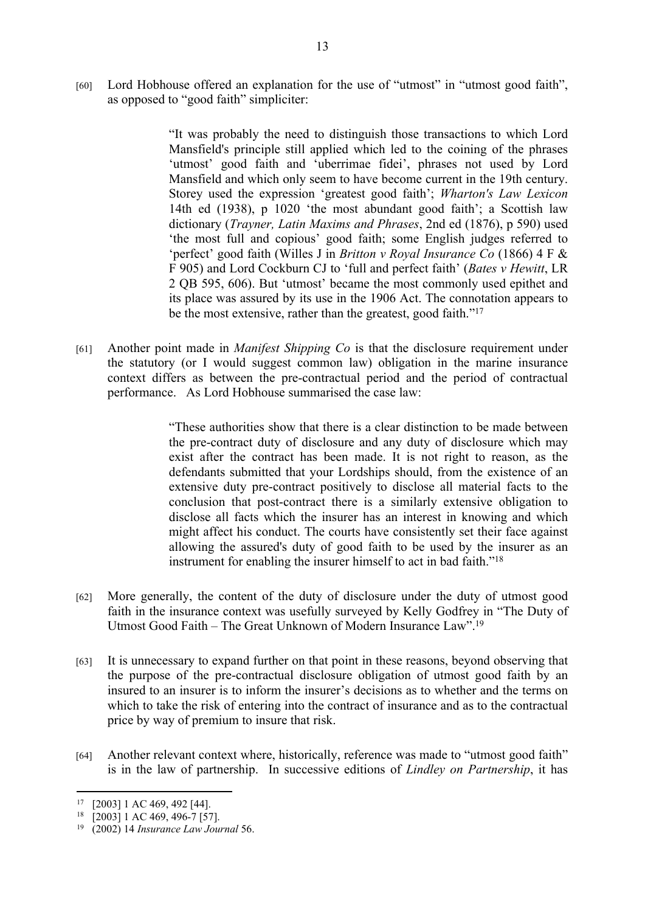[60] Lord Hobhouse offered an explanation for the use of "utmost" in "utmost good faith", as opposed to "good faith" simpliciter:

> "It was probably the need to distinguish those transactions to which Lord Mansfield's principle still applied which led to the coining of the phrases 'utmost' good faith and 'uberrimae fidei', phrases not used by Lord Mansfield and which only seem to have become current in the 19th century. Storey used the expression 'greatest good faith'; *Wharton's Law Lexicon* 14th ed (1938), p 1020 'the most abundant good faith'; a Scottish law dictionary (*Trayner, Latin Maxims and Phrases*, 2nd ed (1876), p 590) used 'the most full and copious' good faith; some English judges referred to 'perfect' good faith (Willes J in *Britton v Royal Insurance Co* (1866) 4 F & F 905) and Lord Cockburn CJ to 'full and perfect faith' (*Bates v Hewitt*, LR 2 QB 595, 606). But 'utmost' became the most commonly used epithet and its place was assured by its use in the 1906 Act. The connotation appears to be the most extensive, rather than the greatest, good faith."<sup>17</sup>

[61] Another point made in *Manifest Shipping Co* is that the disclosure requirement under the statutory (or I would suggest common law) obligation in the marine insurance context differs as between the pre-contractual period and the period of contractual performance. As Lord Hobhouse summarised the case law:

> "These authorities show that there is a clear distinction to be made between the pre-contract duty of disclosure and any duty of disclosure which may exist after the contract has been made. It is not right to reason, as the defendants submitted that your Lordships should, from the existence of an extensive duty pre-contract positively to disclose all material facts to the conclusion that post-contract there is a similarly extensive obligation to disclose all facts which the insurer has an interest in knowing and which might affect his conduct. The courts have consistently set their face against allowing the assured's duty of good faith to be used by the insurer as an instrument for enabling the insurer himself to act in bad faith."<sup>18</sup>

- [62] More generally, the content of the duty of disclosure under the duty of utmost good faith in the insurance context was usefully surveyed by Kelly Godfrey in "The Duty of Utmost Good Faith – The Great Unknown of Modern Insurance Law".<sup>19</sup>
- [63] It is unnecessary to expand further on that point in these reasons, beyond observing that the purpose of the pre-contractual disclosure obligation of utmost good faith by an insured to an insurer is to inform the insurer's decisions as to whether and the terms on which to take the risk of entering into the contract of insurance and as to the contractual price by way of premium to insure that risk.
- [64] Another relevant context where, historically, reference was made to "utmost good faith" is in the law of partnership. In successive editions of *Lindley on Partnership*, it has

<sup>17</sup> [2003] 1 AC 469, 492 [44].

<sup>18</sup> [2003] 1 AC 469, 496-7 [57].

<sup>19</sup> (2002) 14 *Insurance Law Journal* 56.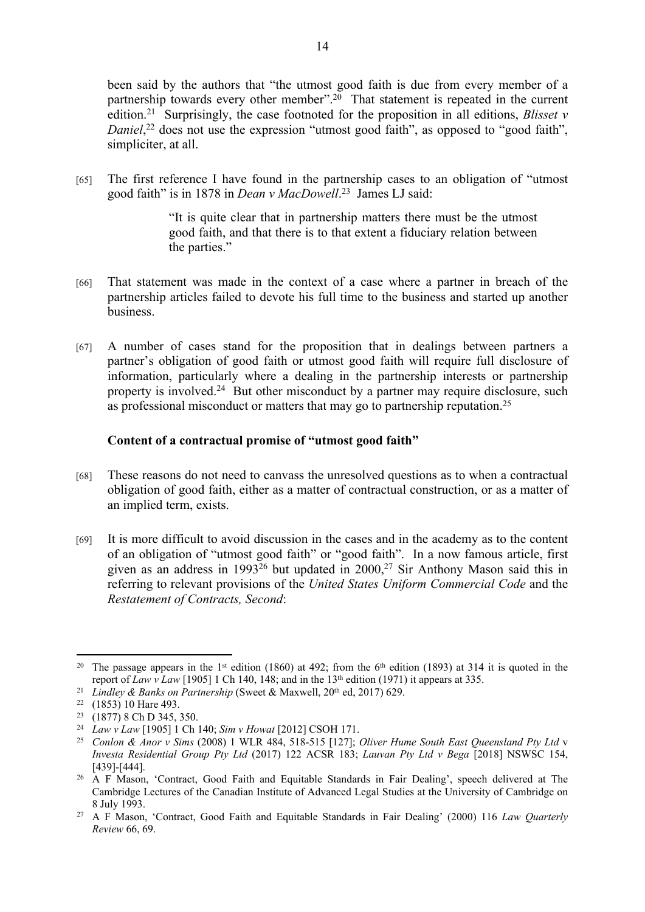been said by the authors that "the utmost good faith is due from every member of a partnership towards every other member".<sup>20</sup> That statement is repeated in the current edition.<sup>21</sup> Surprisingly, the case footnoted for the proposition in all editions, *Blisset v*  Daniel,<sup>22</sup> does not use the expression "utmost good faith", as opposed to "good faith", simpliciter, at all.

[65] The first reference I have found in the partnership cases to an obligation of "utmost good faith" is in 1878 in *Dean v MacDowell*. <sup>23</sup> James LJ said:

> "It is quite clear that in partnership matters there must be the utmost good faith, and that there is to that extent a fiduciary relation between the parties."

- [66] That statement was made in the context of a case where a partner in breach of the partnership articles failed to devote his full time to the business and started up another business.
- [67] A number of cases stand for the proposition that in dealings between partners a partner's obligation of good faith or utmost good faith will require full disclosure of information, particularly where a dealing in the partnership interests or partnership property is involved.<sup>24</sup> But other misconduct by a partner may require disclosure, such as professional misconduct or matters that may go to partnership reputation.<sup>25</sup>

# **Content of a contractual promise of "utmost good faith"**

- [68] These reasons do not need to canvass the unresolved questions as to when a contractual obligation of good faith, either as a matter of contractual construction, or as a matter of an implied term, exists.
- [69] It is more difficult to avoid discussion in the cases and in the academy as to the content of an obligation of "utmost good faith" or "good faith". In a now famous article, first given as an address in 1993<sup>26</sup> but updated in 2000,<sup>27</sup> Sir Anthony Mason said this in referring to relevant provisions of the *United States Uniform Commercial Code* and the *Restatement of Contracts, Second*:

<sup>&</sup>lt;sup>20</sup> The passage appears in the 1<sup>st</sup> edition (1860) at 492; from the 6<sup>th</sup> edition (1893) at 314 it is quoted in the report of *Law v Law* [1905] 1 Ch 140, 148; and in the 13<sup>th</sup> edition (1971) it appears at 335.

<sup>&</sup>lt;sup>21</sup> *Lindley & Banks on Partnership* (Sweet & Maxwell, 20<sup>th</sup> ed, 2017) 629.

<sup>22</sup> (1853) 10 Hare 493.

<sup>&</sup>lt;sup>23</sup> (1877) 8 Ch D 345, 350.

<sup>24</sup> *Law v Law* [1905] 1 Ch 140; *Sim v Howat* [2012] CSOH 171.

<sup>25</sup> *Conlon & Anor v Sims* (2008) 1 WLR 484, 518-515 [127]; *Oliver Hume South East Queensland Pty Ltd* v *Investa Residential Group Pty Ltd* (2017) 122 ACSR 183; *Lauvan Pty Ltd v Bega* [2018] NSWSC 154, [439]-[444].

<sup>&</sup>lt;sup>26</sup> A F Mason, 'Contract, Good Faith and Equitable Standards in Fair Dealing', speech delivered at The Cambridge Lectures of the Canadian Institute of Advanced Legal Studies at the University of Cambridge on 8 July 1993.

<sup>27</sup> A F Mason, 'Contract, Good Faith and Equitable Standards in Fair Dealing' (2000) 116 *Law Quarterly Review* 66, 69.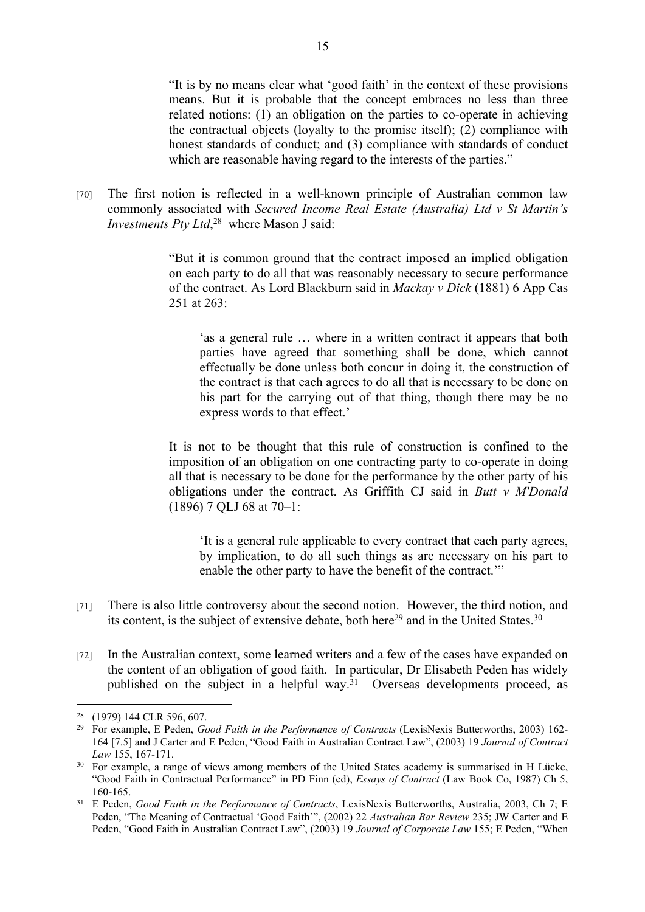"It is by no means clear what 'good faith' in the context of these provisions means. But it is probable that the concept embraces no less than three related notions: (1) an obligation on the parties to co-operate in achieving the contractual objects (loyalty to the promise itself); (2) compliance with honest standards of conduct; and (3) compliance with standards of conduct which are reasonable having regard to the interests of the parties."

[70] The first notion is reflected in a well-known principle of Australian common law commonly associated with *Secured Income Real Estate (Australia) Ltd v St Martin's Investments Pty Ltd*, <sup>28</sup> where Mason J said:

> "But it is common ground that the contract imposed an implied obligation on each party to do all that was reasonably necessary to secure performance of the contract. As Lord Blackburn said in *Mackay v Dick* (1881) 6 App Cas 251 at 263:

'as a general rule … where in a written contract it appears that both parties have agreed that something shall be done, which cannot effectually be done unless both concur in doing it, the construction of the contract is that each agrees to do all that is necessary to be done on his part for the carrying out of that thing, though there may be no express words to that effect.'

It is not to be thought that this rule of construction is confined to the imposition of an obligation on one contracting party to co-operate in doing all that is necessary to be done for the performance by the other party of his obligations under the contract. As Griffith CJ said in *Butt v M'Donald* (1896) 7 QLJ 68 at 70–1:

'It is a general rule applicable to every contract that each party agrees, by implication, to do all such things as are necessary on his part to enable the other party to have the benefit of the contract.'"

- [71] There is also little controversy about the second notion. However, the third notion, and its content, is the subject of extensive debate, both here<sup>29</sup> and in the United States.<sup>30</sup>
- [72] In the Australian context, some learned writers and a few of the cases have expanded on the content of an obligation of good faith. In particular, Dr Elisabeth Peden has widely published on the subject in a helpful way.<sup>31</sup> Overseas developments proceed, as

<sup>28</sup> (1979) 144 CLR 596, 607.

<sup>29</sup> For example, E Peden, *Good Faith in the Performance of Contracts* (LexisNexis Butterworths, 2003) 162- 164 [7.5] and J Carter and E Peden, "Good Faith in Australian Contract Law", (2003) 19 *Journal of Contract Law* 155, 167-171.

<sup>&</sup>lt;sup>30</sup> For example, a range of views among members of the United States academy is summarised in H Lücke, "Good Faith in Contractual Performance" in PD Finn (ed), *Essays of Contract* (Law Book Co, 1987) Ch 5, 160-165.

<sup>31</sup> E Peden, *Good Faith in the Performance of Contracts*, LexisNexis Butterworths, Australia, 2003, Ch 7; E Peden, "The Meaning of Contractual 'Good Faith'", (2002) 22 *Australian Bar Review* 235; JW Carter and E Peden, "Good Faith in Australian Contract Law", (2003) 19 *Journal of Corporate Law* 155; E Peden, "When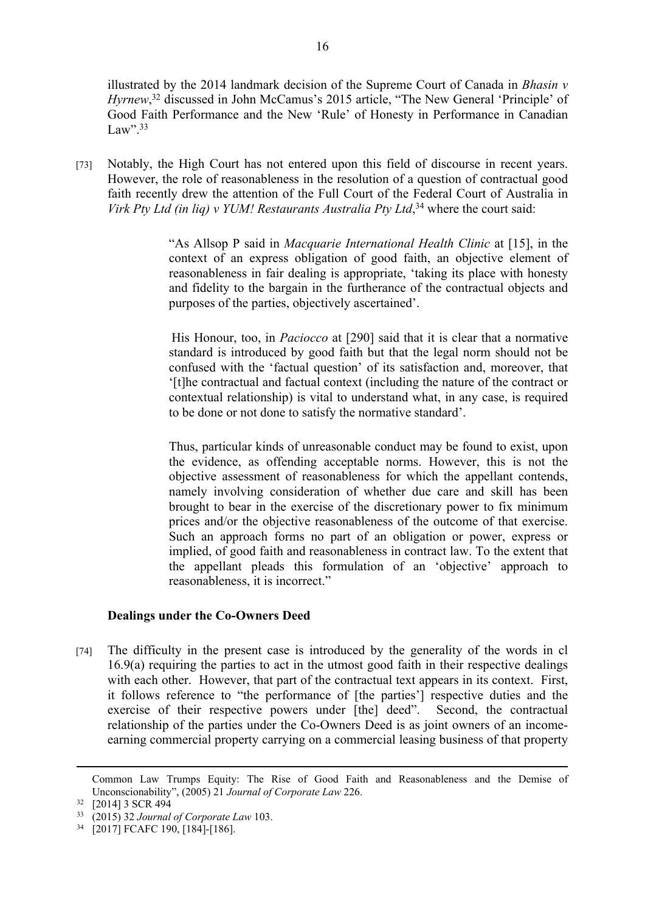illustrated by the 2014 landmark decision of the Supreme Court of Canada in *Bhasin v Hyrnew*,<sup>32</sup> discussed in John McCamus's 2015 article, "The New General 'Principle' of Good Faith Performance and the New 'Rule' of Honesty in Performance in Canadian Law". $33$ 

[73] Notably, the High Court has not entered upon this field of discourse in recent years. However, the role of reasonableness in the resolution of a question of contractual good faith recently drew the attention of the Full Court of the Federal Court of Australia in *Virk Pty Ltd (in liq) v YUM! Restaurants Australia Pty Ltd*, <sup>34</sup> where the court said:

> "As Allsop P said in *Macquarie International Health Clinic* at [15], in the context of an express obligation of good faith, an objective element of reasonableness in fair dealing is appropriate, 'taking its place with honesty and fidelity to the bargain in the furtherance of the contractual objects and purposes of the parties, objectively ascertained'.

> His Honour, too, in *Paciocco* at [290] said that it is clear that a normative standard is introduced by good faith but that the legal norm should not be confused with the 'factual question' of its satisfaction and, moreover, that '[t]he contractual and factual context (including the nature of the contract or contextual relationship) is vital to understand what, in any case, is required to be done or not done to satisfy the normative standard'.

> Thus, particular kinds of unreasonable conduct may be found to exist, upon the evidence, as offending acceptable norms. However, this is not the objective assessment of reasonableness for which the appellant contends, namely involving consideration of whether due care and skill has been brought to bear in the exercise of the discretionary power to fix minimum prices and/or the objective reasonableness of the outcome of that exercise. Such an approach forms no part of an obligation or power, express or implied, of good faith and reasonableness in contract law. To the extent that the appellant pleads this formulation of an 'objective' approach to reasonableness, it is incorrect."

## **Dealings under the Co-Owners Deed**

[74] The difficulty in the present case is introduced by the generality of the words in cl 16.9(a) requiring the parties to act in the utmost good faith in their respective dealings with each other. However, that part of the contractual text appears in its context. First, it follows reference to "the performance of [the parties'] respective duties and the exercise of their respective powers under [the] deed". Second, the contractual relationship of the parties under the Co-Owners Deed is as joint owners of an incomeearning commercial property carrying on a commercial leasing business of that property

Common Law Trumps Equity: The Rise of Good Faith and Reasonableness and the Demise of Unconscionability", (2005) 21 *Journal of Corporate Law* 226.

<sup>32</sup> [2014] 3 SCR 494

<sup>33</sup> (2015) 32 *Journal of Corporate Law* 103.

<sup>34</sup> [2017] FCAFC 190, [184]-[186].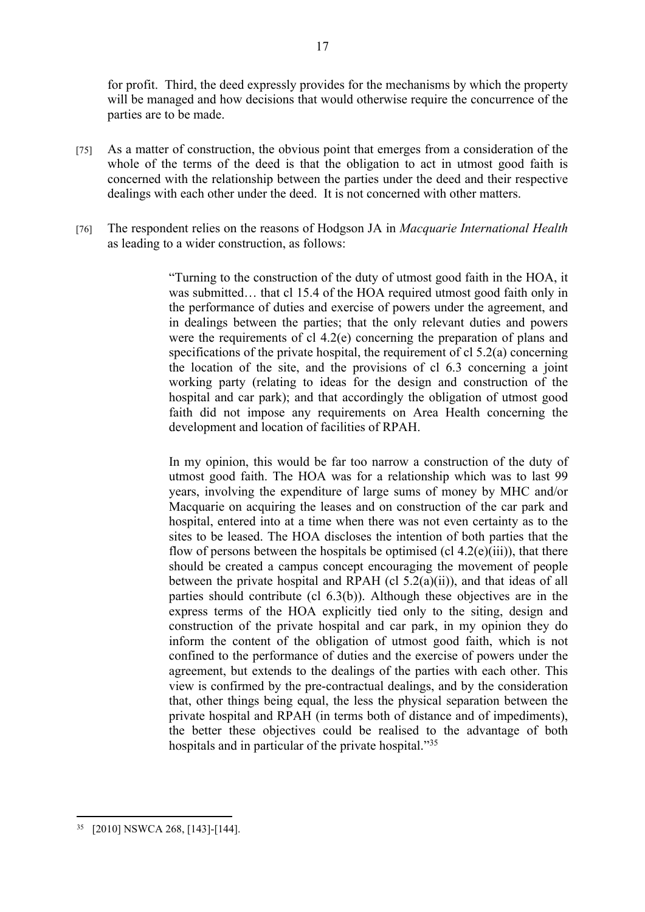for profit. Third, the deed expressly provides for the mechanisms by which the property will be managed and how decisions that would otherwise require the concurrence of the parties are to be made.

- [75] As a matter of construction, the obvious point that emerges from a consideration of the whole of the terms of the deed is that the obligation to act in utmost good faith is concerned with the relationship between the parties under the deed and their respective dealings with each other under the deed. It is not concerned with other matters.
- [76] The respondent relies on the reasons of Hodgson JA in *Macquarie International Health*  as leading to a wider construction, as follows:

"Turning to the construction of the duty of utmost good faith in the HOA, it was submitted… that cl 15.4 of the HOA required utmost good faith only in the performance of duties and exercise of powers under the agreement, and in dealings between the parties; that the only relevant duties and powers were the requirements of cl 4.2(e) concerning the preparation of plans and specifications of the private hospital, the requirement of cl 5.2(a) concerning the location of the site, and the provisions of cl 6.3 concerning a joint working party (relating to ideas for the design and construction of the hospital and car park); and that accordingly the obligation of utmost good faith did not impose any requirements on Area Health concerning the development and location of facilities of RPAH.

In my opinion, this would be far too narrow a construction of the duty of utmost good faith. The HOA was for a relationship which was to last 99 years, involving the expenditure of large sums of money by MHC and/or Macquarie on acquiring the leases and on construction of the car park and hospital, entered into at a time when there was not even certainty as to the sites to be leased. The HOA discloses the intention of both parties that the flow of persons between the hospitals be optimised (cl  $4.2(e)$ (iii)), that there should be created a campus concept encouraging the movement of people between the private hospital and RPAH (cl  $5.2(a)(ii)$ ), and that ideas of all parties should contribute (cl 6.3(b)). Although these objectives are in the express terms of the HOA explicitly tied only to the siting, design and construction of the private hospital and car park, in my opinion they do inform the content of the obligation of utmost good faith, which is not confined to the performance of duties and the exercise of powers under the agreement, but extends to the dealings of the parties with each other. This view is confirmed by the pre-contractual dealings, and by the consideration that, other things being equal, the less the physical separation between the private hospital and RPAH (in terms both of distance and of impediments), the better these objectives could be realised to the advantage of both hospitals and in particular of the private hospital."<sup>35</sup>

<sup>35</sup> [2010] NSWCA 268, [143]-[144].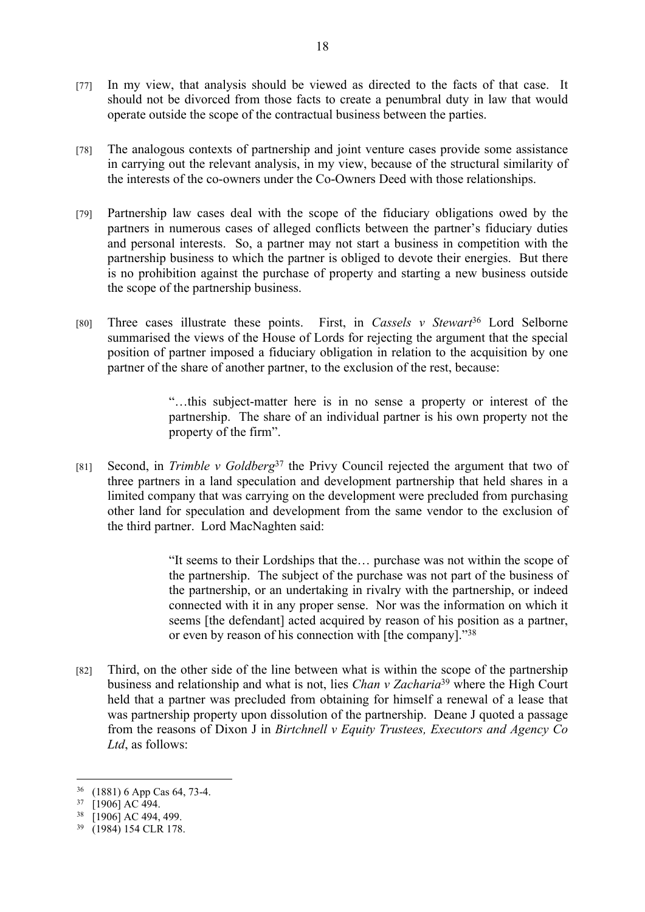- [77] In my view, that analysis should be viewed as directed to the facts of that case. It should not be divorced from those facts to create a penumbral duty in law that would operate outside the scope of the contractual business between the parties.
- [78] The analogous contexts of partnership and joint venture cases provide some assistance in carrying out the relevant analysis, in my view, because of the structural similarity of the interests of the co-owners under the Co-Owners Deed with those relationships.
- [79] Partnership law cases deal with the scope of the fiduciary obligations owed by the partners in numerous cases of alleged conflicts between the partner's fiduciary duties and personal interests. So, a partner may not start a business in competition with the partnership business to which the partner is obliged to devote their energies. But there is no prohibition against the purchase of property and starting a new business outside the scope of the partnership business.
- [80] Three cases illustrate these points. First, in *Cassels v Stewart*<sup>36</sup> Lord Selborne summarised the views of the House of Lords for rejecting the argument that the special position of partner imposed a fiduciary obligation in relation to the acquisition by one partner of the share of another partner, to the exclusion of the rest, because:

"…this subject-matter here is in no sense a property or interest of the partnership. The share of an individual partner is his own property not the property of the firm".

[81] Second, in *Trimble v Goldberg*<sup>37</sup> the Privy Council rejected the argument that two of three partners in a land speculation and development partnership that held shares in a limited company that was carrying on the development were precluded from purchasing other land for speculation and development from the same vendor to the exclusion of the third partner. Lord MacNaghten said:

> "It seems to their Lordships that the… purchase was not within the scope of the partnership. The subject of the purchase was not part of the business of the partnership, or an undertaking in rivalry with the partnership, or indeed connected with it in any proper sense. Nor was the information on which it seems [the defendant] acted acquired by reason of his position as a partner, or even by reason of his connection with [the company]."<sup>38</sup>

[82] Third, on the other side of the line between what is within the scope of the partnership business and relationship and what is not, lies *Chan v Zacharia*<sup>39</sup> where the High Court held that a partner was precluded from obtaining for himself a renewal of a lease that was partnership property upon dissolution of the partnership. Deane J quoted a passage from the reasons of Dixon J in *Birtchnell v Equity Trustees, Executors and Agency Co Ltd*, as follows:

<sup>36</sup> (1881) 6 App Cas 64, 73-4.

<sup>37</sup> [1906] AC 494.

<sup>38</sup> [1906] AC 494, 499.

<sup>39</sup> (1984) 154 CLR 178.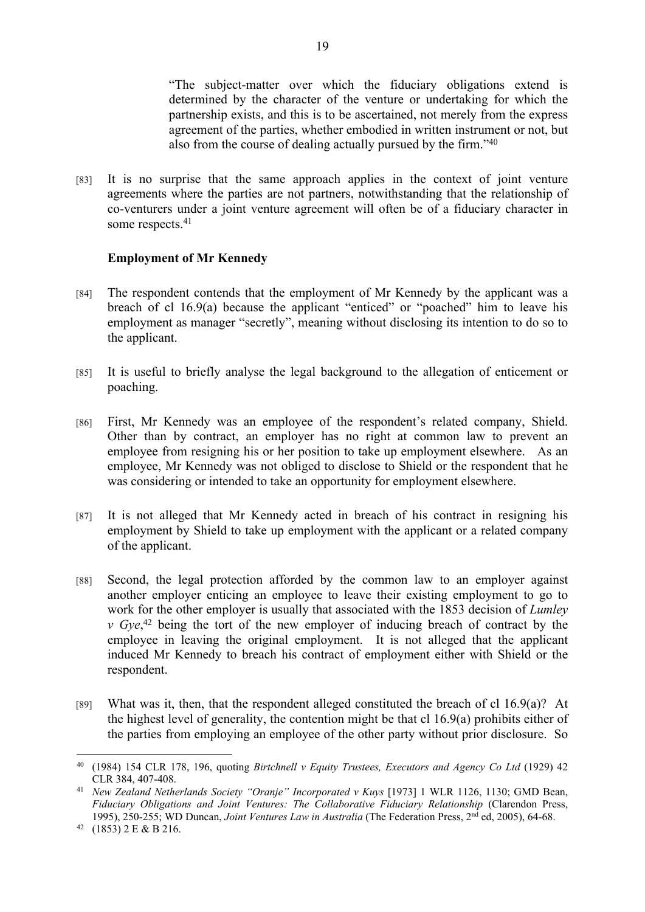"The subject-matter over which the fiduciary obligations extend is determined by the character of the venture or undertaking for which the partnership exists, and this is to be ascertained, not merely from the express agreement of the parties, whether embodied in written instrument or not, but also from the course of dealing actually pursued by the firm."<sup>40</sup>

[83] It is no surprise that the same approach applies in the context of joint venture agreements where the parties are not partners, notwithstanding that the relationship of co-venturers under a joint venture agreement will often be of a fiduciary character in some respects.<sup>41</sup>

## **Employment of Mr Kennedy**

- [84] The respondent contends that the employment of Mr Kennedy by the applicant was a breach of cl 16.9(a) because the applicant "enticed" or "poached" him to leave his employment as manager "secretly", meaning without disclosing its intention to do so to the applicant.
- [85] It is useful to briefly analyse the legal background to the allegation of enticement or poaching.
- [86] First, Mr Kennedy was an employee of the respondent's related company, Shield. Other than by contract, an employer has no right at common law to prevent an employee from resigning his or her position to take up employment elsewhere. As an employee, Mr Kennedy was not obliged to disclose to Shield or the respondent that he was considering or intended to take an opportunity for employment elsewhere.
- [87] It is not alleged that Mr Kennedy acted in breach of his contract in resigning his employment by Shield to take up employment with the applicant or a related company of the applicant.
- [88] Second, the legal protection afforded by the common law to an employer against another employer enticing an employee to leave their existing employment to go to work for the other employer is usually that associated with the 1853 decision of *Lumley v* Gye,<sup>42</sup> being the tort of the new employer of inducing breach of contract by the employee in leaving the original employment. It is not alleged that the applicant induced Mr Kennedy to breach his contract of employment either with Shield or the respondent.
- [89] What was it, then, that the respondent alleged constituted the breach of cl  $16.9(a)$ ? At the highest level of generality, the contention might be that cl 16.9(a) prohibits either of the parties from employing an employee of the other party without prior disclosure. So

<sup>40</sup> (1984) 154 CLR 178, 196, quoting *Birtchnell v Equity Trustees, Executors and Agency Co Ltd* (1929) 42 CLR 384, 407-408.

<sup>&</sup>lt;sup>41</sup> *New Zealand Netherlands Society "Oranje" Incorporated v Kuys* [1973] 1 WLR 1126, 1130; GMD Bean, *Fiduciary Obligations and Joint Ventures: The Collaborative Fiduciary Relationship* (Clarendon Press, 1995), 250-255; WD Duncan, *Joint Ventures Law in Australia* (The Federation Press, 2nd ed, 2005), 64-68.

<sup>42</sup> (1853) 2 E & B 216.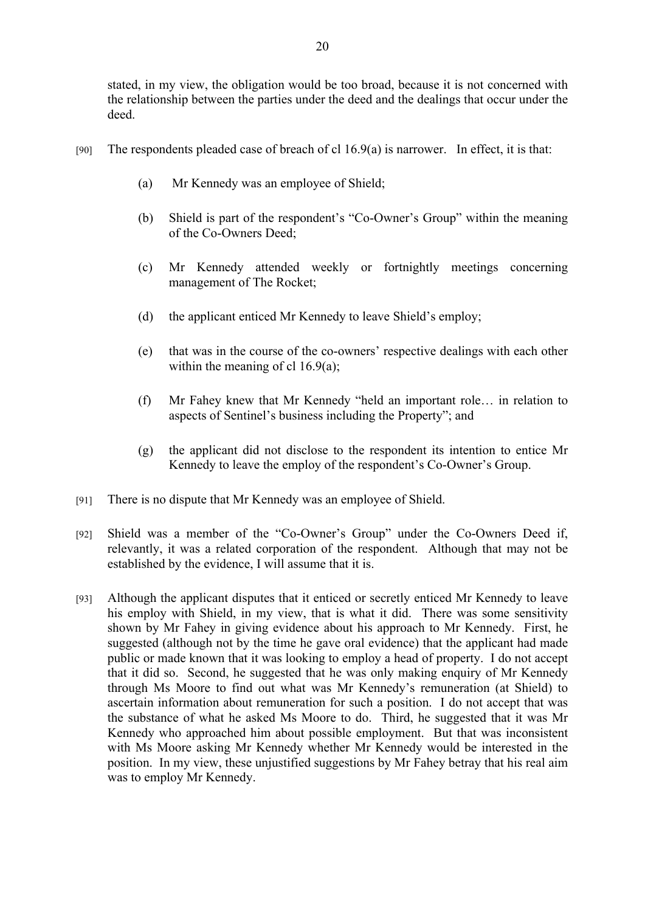stated, in my view, the obligation would be too broad, because it is not concerned with the relationship between the parties under the deed and the dealings that occur under the deed.

- [90] The respondents pleaded case of breach of cl 16.9(a) is narrower. In effect, it is that:
	- (a) Mr Kennedy was an employee of Shield;
	- (b) Shield is part of the respondent's "Co-Owner's Group" within the meaning of the Co-Owners Deed;
	- (c) Mr Kennedy attended weekly or fortnightly meetings concerning management of The Rocket;
	- (d) the applicant enticed Mr Kennedy to leave Shield's employ;
	- (e) that was in the course of the co-owners' respective dealings with each other within the meaning of cl  $16.9(a)$ ;
	- (f) Mr Fahey knew that Mr Kennedy "held an important role… in relation to aspects of Sentinel's business including the Property"; and
	- (g) the applicant did not disclose to the respondent its intention to entice Mr Kennedy to leave the employ of the respondent's Co-Owner's Group.
- [91] There is no dispute that Mr Kennedy was an employee of Shield.
- [92] Shield was a member of the "Co-Owner's Group" under the Co-Owners Deed if, relevantly, it was a related corporation of the respondent. Although that may not be established by the evidence, I will assume that it is.
- [93] Although the applicant disputes that it enticed or secretly enticed Mr Kennedy to leave his employ with Shield, in my view, that is what it did. There was some sensitivity shown by Mr Fahey in giving evidence about his approach to Mr Kennedy. First, he suggested (although not by the time he gave oral evidence) that the applicant had made public or made known that it was looking to employ a head of property. I do not accept that it did so. Second, he suggested that he was only making enquiry of Mr Kennedy through Ms Moore to find out what was Mr Kennedy's remuneration (at Shield) to ascertain information about remuneration for such a position. I do not accept that was the substance of what he asked Ms Moore to do. Third, he suggested that it was Mr Kennedy who approached him about possible employment. But that was inconsistent with Ms Moore asking Mr Kennedy whether Mr Kennedy would be interested in the position. In my view, these unjustified suggestions by Mr Fahey betray that his real aim was to employ Mr Kennedy.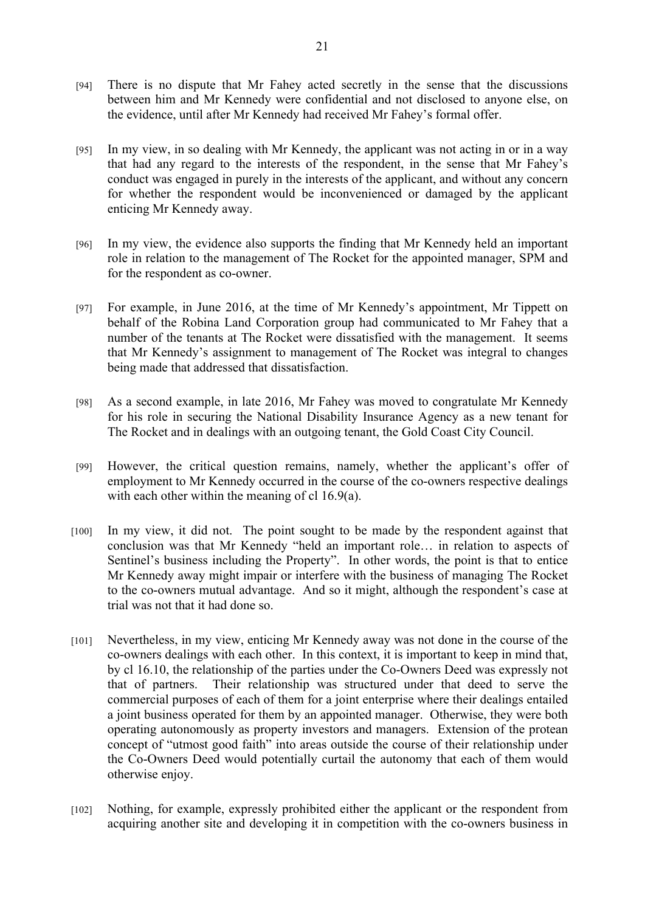- [94] There is no dispute that Mr Fahey acted secretly in the sense that the discussions between him and Mr Kennedy were confidential and not disclosed to anyone else, on the evidence, until after Mr Kennedy had received Mr Fahey's formal offer.
- [95] In my view, in so dealing with Mr Kennedy, the applicant was not acting in or in a way that had any regard to the interests of the respondent, in the sense that Mr Fahey's conduct was engaged in purely in the interests of the applicant, and without any concern for whether the respondent would be inconvenienced or damaged by the applicant enticing Mr Kennedy away.
- [96] In my view, the evidence also supports the finding that Mr Kennedy held an important role in relation to the management of The Rocket for the appointed manager, SPM and for the respondent as co-owner.
- [97] For example, in June 2016, at the time of Mr Kennedy's appointment, Mr Tippett on behalf of the Robina Land Corporation group had communicated to Mr Fahey that a number of the tenants at The Rocket were dissatisfied with the management. It seems that Mr Kennedy's assignment to management of The Rocket was integral to changes being made that addressed that dissatisfaction.
- [98] As a second example, in late 2016, Mr Fahey was moved to congratulate Mr Kennedy for his role in securing the National Disability Insurance Agency as a new tenant for The Rocket and in dealings with an outgoing tenant, the Gold Coast City Council.
- [99] However, the critical question remains, namely, whether the applicant's offer of employment to Mr Kennedy occurred in the course of the co-owners respective dealings with each other within the meaning of cl 16.9(a).
- [100] In my view, it did not. The point sought to be made by the respondent against that conclusion was that Mr Kennedy "held an important role… in relation to aspects of Sentinel's business including the Property". In other words, the point is that to entice Mr Kennedy away might impair or interfere with the business of managing The Rocket to the co-owners mutual advantage. And so it might, although the respondent's case at trial was not that it had done so.
- [101] Nevertheless, in my view, enticing Mr Kennedy away was not done in the course of the co-owners dealings with each other. In this context, it is important to keep in mind that, by cl 16.10, the relationship of the parties under the Co-Owners Deed was expressly not that of partners. Their relationship was structured under that deed to serve the commercial purposes of each of them for a joint enterprise where their dealings entailed a joint business operated for them by an appointed manager. Otherwise, they were both operating autonomously as property investors and managers. Extension of the protean concept of "utmost good faith" into areas outside the course of their relationship under the Co-Owners Deed would potentially curtail the autonomy that each of them would otherwise enjoy.
- [102] Nothing, for example, expressly prohibited either the applicant or the respondent from acquiring another site and developing it in competition with the co-owners business in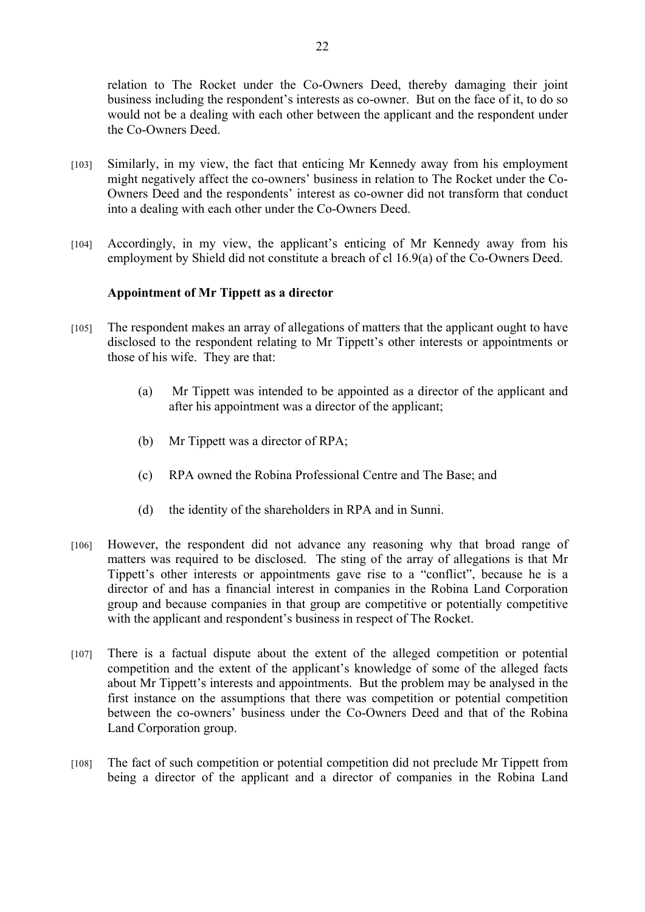relation to The Rocket under the Co-Owners Deed, thereby damaging their joint business including the respondent's interests as co-owner. But on the face of it, to do so would not be a dealing with each other between the applicant and the respondent under the Co-Owners Deed.

- [103] Similarly, in my view, the fact that enticing Mr Kennedy away from his employment might negatively affect the co-owners' business in relation to The Rocket under the Co-Owners Deed and the respondents' interest as co-owner did not transform that conduct into a dealing with each other under the Co-Owners Deed.
- [104] Accordingly, in my view, the applicant's enticing of Mr Kennedy away from his employment by Shield did not constitute a breach of cl 16.9(a) of the Co-Owners Deed.

## **Appointment of Mr Tippett as a director**

- [105] The respondent makes an array of allegations of matters that the applicant ought to have disclosed to the respondent relating to Mr Tippett's other interests or appointments or those of his wife. They are that:
	- (a) Mr Tippett was intended to be appointed as a director of the applicant and after his appointment was a director of the applicant;
	- (b) Mr Tippett was a director of RPA;
	- (c) RPA owned the Robina Professional Centre and The Base; and
	- (d) the identity of the shareholders in RPA and in Sunni.
- [106] However, the respondent did not advance any reasoning why that broad range of matters was required to be disclosed. The sting of the array of allegations is that Mr Tippett's other interests or appointments gave rise to a "conflict", because he is a director of and has a financial interest in companies in the Robina Land Corporation group and because companies in that group are competitive or potentially competitive with the applicant and respondent's business in respect of The Rocket.
- [107] There is a factual dispute about the extent of the alleged competition or potential competition and the extent of the applicant's knowledge of some of the alleged facts about Mr Tippett's interests and appointments. But the problem may be analysed in the first instance on the assumptions that there was competition or potential competition between the co-owners' business under the Co-Owners Deed and that of the Robina Land Corporation group.
- [108] The fact of such competition or potential competition did not preclude Mr Tippett from being a director of the applicant and a director of companies in the Robina Land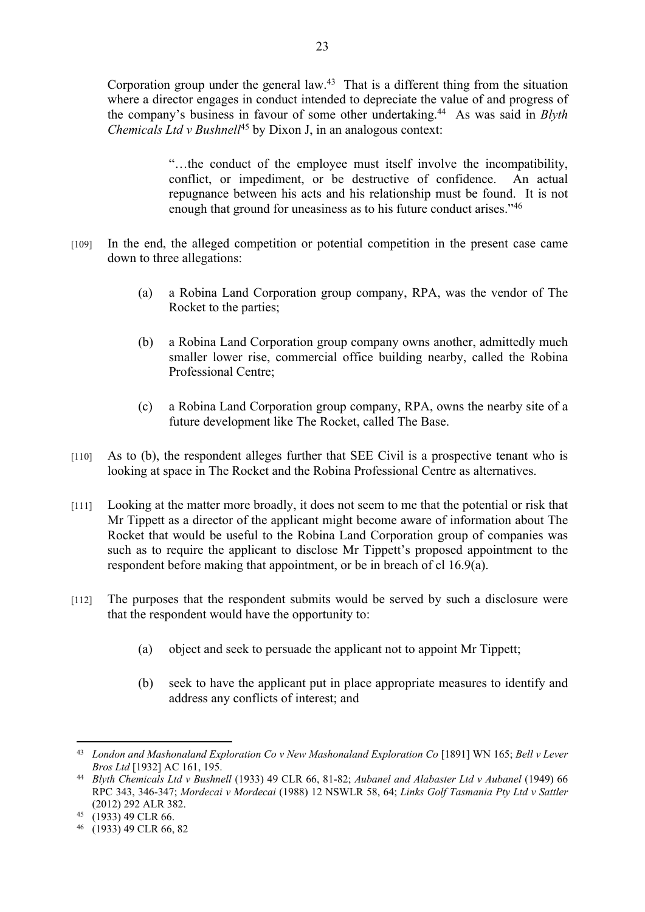Corporation group under the general law.<sup>43</sup> That is a different thing from the situation where a director engages in conduct intended to depreciate the value of and progress of the company's business in favour of some other undertaking.<sup>44</sup> As was said in *Blyth Chemicals Ltd v Bushnell*<sup>45</sup> by Dixon J, in an analogous context:

> "…the conduct of the employee must itself involve the incompatibility, conflict, or impediment, or be destructive of confidence. An actual repugnance between his acts and his relationship must be found. It is not enough that ground for uneasiness as to his future conduct arises."<sup>46</sup>

- [109] In the end, the alleged competition or potential competition in the present case came down to three allegations:
	- (a) a Robina Land Corporation group company, RPA, was the vendor of The Rocket to the parties;
	- (b) a Robina Land Corporation group company owns another, admittedly much smaller lower rise, commercial office building nearby, called the Robina Professional Centre;
	- (c) a Robina Land Corporation group company, RPA, owns the nearby site of a future development like The Rocket, called The Base.
- [110] As to (b), the respondent alleges further that SEE Civil is a prospective tenant who is looking at space in The Rocket and the Robina Professional Centre as alternatives.
- [111] Looking at the matter more broadly, it does not seem to me that the potential or risk that Mr Tippett as a director of the applicant might become aware of information about The Rocket that would be useful to the Robina Land Corporation group of companies was such as to require the applicant to disclose Mr Tippett's proposed appointment to the respondent before making that appointment, or be in breach of cl 16.9(a).
- [112] The purposes that the respondent submits would be served by such a disclosure were that the respondent would have the opportunity to:
	- (a) object and seek to persuade the applicant not to appoint Mr Tippett;
	- (b) seek to have the applicant put in place appropriate measures to identify and address any conflicts of interest; and

<sup>43</sup> *London and Mashonaland Exploration Co v New Mashonaland Exploration Co* [1891] WN 165; *Bell v Lever Bros Ltd* [1932] AC 161, 195.

<sup>44</sup> *Blyth Chemicals Ltd v Bushnell* (1933) 49 CLR 66, 81-82; *Aubanel and Alabaster Ltd v Aubanel* (1949) 66 RPC 343, 346-347; *Mordecai v Mordecai* (1988) 12 NSWLR 58, 64; *Links Golf Tasmania Pty Ltd v Sattler*  (2012) 292 ALR 382.

<sup>45</sup> (1933) 49 CLR 66.

<sup>46</sup> (1933) 49 CLR 66, 82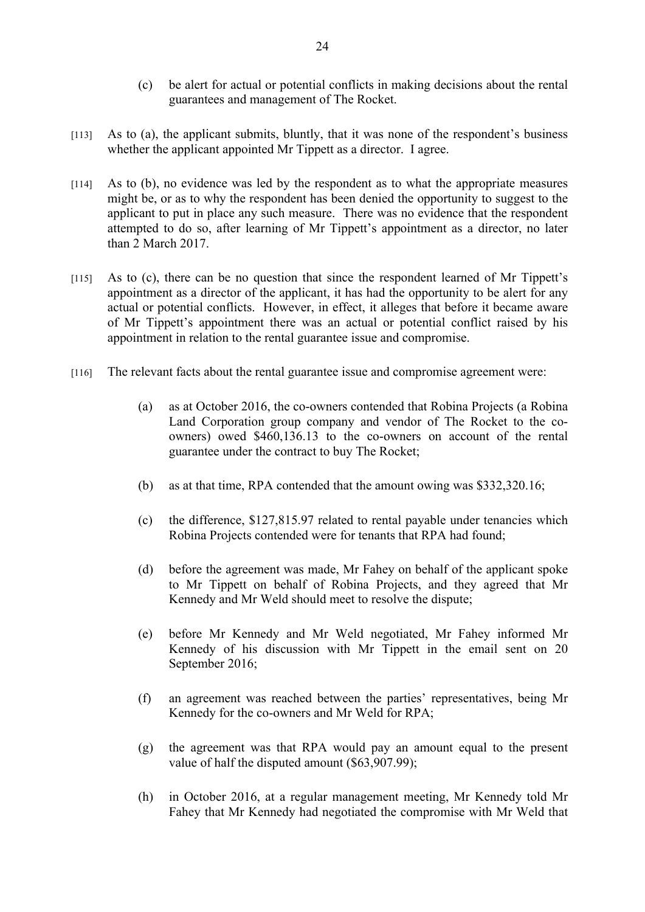- (c) be alert for actual or potential conflicts in making decisions about the rental guarantees and management of The Rocket.
- [113] As to (a), the applicant submits, bluntly, that it was none of the respondent's business whether the applicant appointed Mr Tippett as a director. I agree.
- [114] As to (b), no evidence was led by the respondent as to what the appropriate measures might be, or as to why the respondent has been denied the opportunity to suggest to the applicant to put in place any such measure. There was no evidence that the respondent attempted to do so, after learning of Mr Tippett's appointment as a director, no later than 2 March 2017.
- [115] As to (c), there can be no question that since the respondent learned of Mr Tippett's appointment as a director of the applicant, it has had the opportunity to be alert for any actual or potential conflicts. However, in effect, it alleges that before it became aware of Mr Tippett's appointment there was an actual or potential conflict raised by his appointment in relation to the rental guarantee issue and compromise.
- [116] The relevant facts about the rental guarantee issue and compromise agreement were:
	- (a) as at October 2016, the co-owners contended that Robina Projects (a Robina Land Corporation group company and vendor of The Rocket to the coowners) owed \$460,136.13 to the co-owners on account of the rental guarantee under the contract to buy The Rocket;
	- (b) as at that time, RPA contended that the amount owing was \$332,320.16;
	- (c) the difference, \$127,815.97 related to rental payable under tenancies which Robina Projects contended were for tenants that RPA had found;
	- (d) before the agreement was made, Mr Fahey on behalf of the applicant spoke to Mr Tippett on behalf of Robina Projects, and they agreed that Mr Kennedy and Mr Weld should meet to resolve the dispute;
	- (e) before Mr Kennedy and Mr Weld negotiated, Mr Fahey informed Mr Kennedy of his discussion with Mr Tippett in the email sent on 20 September 2016;
	- (f) an agreement was reached between the parties' representatives, being Mr Kennedy for the co-owners and Mr Weld for RPA;
	- (g) the agreement was that RPA would pay an amount equal to the present value of half the disputed amount (\$63,907.99);
	- (h) in October 2016, at a regular management meeting, Mr Kennedy told Mr Fahey that Mr Kennedy had negotiated the compromise with Mr Weld that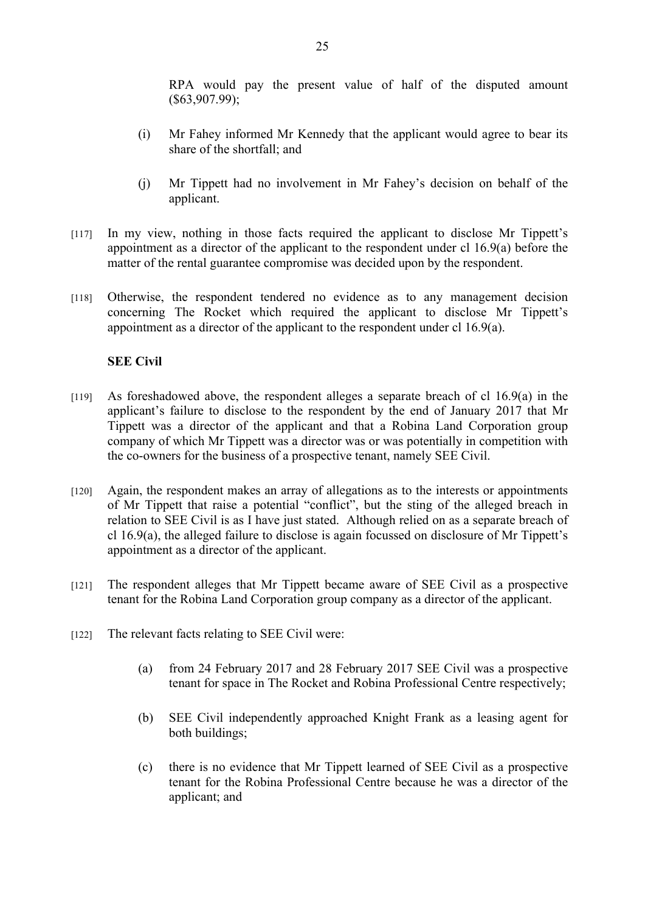RPA would pay the present value of half of the disputed amount (\$63,907.99);

- (i) Mr Fahey informed Mr Kennedy that the applicant would agree to bear its share of the shortfall; and
- (j) Mr Tippett had no involvement in Mr Fahey's decision on behalf of the applicant.
- [117] In my view, nothing in those facts required the applicant to disclose Mr Tippett's appointment as a director of the applicant to the respondent under cl 16.9(a) before the matter of the rental guarantee compromise was decided upon by the respondent.
- [118] Otherwise, the respondent tendered no evidence as to any management decision concerning The Rocket which required the applicant to disclose Mr Tippett's appointment as a director of the applicant to the respondent under cl 16.9(a).

# **SEE Civil**

- [119] As foreshadowed above, the respondent alleges a separate breach of cl 16.9(a) in the applicant's failure to disclose to the respondent by the end of January 2017 that Mr Tippett was a director of the applicant and that a Robina Land Corporation group company of which Mr Tippett was a director was or was potentially in competition with the co-owners for the business of a prospective tenant, namely SEE Civil.
- [120] Again, the respondent makes an array of allegations as to the interests or appointments of Mr Tippett that raise a potential "conflict", but the sting of the alleged breach in relation to SEE Civil is as I have just stated. Although relied on as a separate breach of cl 16.9(a), the alleged failure to disclose is again focussed on disclosure of Mr Tippett's appointment as a director of the applicant.
- [121] The respondent alleges that Mr Tippett became aware of SEE Civil as a prospective tenant for the Robina Land Corporation group company as a director of the applicant.
- [122] The relevant facts relating to SEE Civil were:
	- (a) from 24 February 2017 and 28 February 2017 SEE Civil was a prospective tenant for space in The Rocket and Robina Professional Centre respectively;
	- (b) SEE Civil independently approached Knight Frank as a leasing agent for both buildings;
	- (c) there is no evidence that Mr Tippett learned of SEE Civil as a prospective tenant for the Robina Professional Centre because he was a director of the applicant; and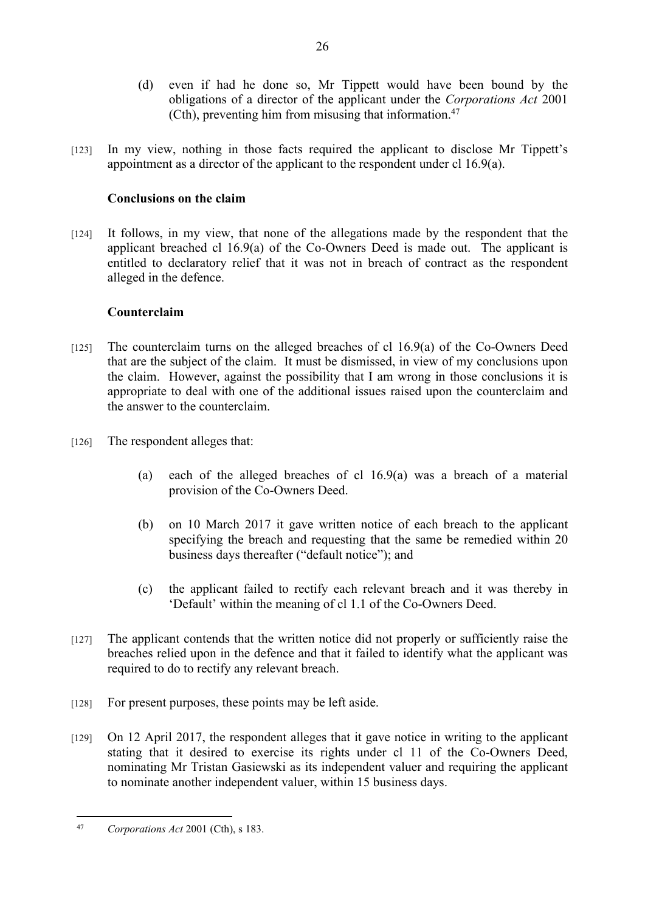- (d) even if had he done so, Mr Tippett would have been bound by the obligations of a director of the applicant under the *Corporations Act* 2001 (Cth), preventing him from misusing that information. $47$
- [123] In my view, nothing in those facts required the applicant to disclose Mr Tippett's appointment as a director of the applicant to the respondent under cl 16.9(a).

# **Conclusions on the claim**

[124] It follows, in my view, that none of the allegations made by the respondent that the applicant breached cl 16.9(a) of the Co-Owners Deed is made out. The applicant is entitled to declaratory relief that it was not in breach of contract as the respondent alleged in the defence.

# **Counterclaim**

- [125] The counterclaim turns on the alleged breaches of cl 16.9(a) of the Co-Owners Deed that are the subject of the claim. It must be dismissed, in view of my conclusions upon the claim. However, against the possibility that I am wrong in those conclusions it is appropriate to deal with one of the additional issues raised upon the counterclaim and the answer to the counterclaim.
- [126] The respondent alleges that:
	- (a) each of the alleged breaches of cl 16.9(a) was a breach of a material provision of the Co-Owners Deed.
	- (b) on 10 March 2017 it gave written notice of each breach to the applicant specifying the breach and requesting that the same be remedied within 20 business days thereafter ("default notice"); and
	- (c) the applicant failed to rectify each relevant breach and it was thereby in 'Default' within the meaning of cl 1.1 of the Co-Owners Deed.
- [127] The applicant contends that the written notice did not properly or sufficiently raise the breaches relied upon in the defence and that it failed to identify what the applicant was required to do to rectify any relevant breach.
- [128] For present purposes, these points may be left aside.
- [129] On 12 April 2017, the respondent alleges that it gave notice in writing to the applicant stating that it desired to exercise its rights under cl 11 of the Co-Owners Deed, nominating Mr Tristan Gasiewski as its independent valuer and requiring the applicant to nominate another independent valuer, within 15 business days.

<sup>47</sup> *Corporations Act* 2001 (Cth), s 183.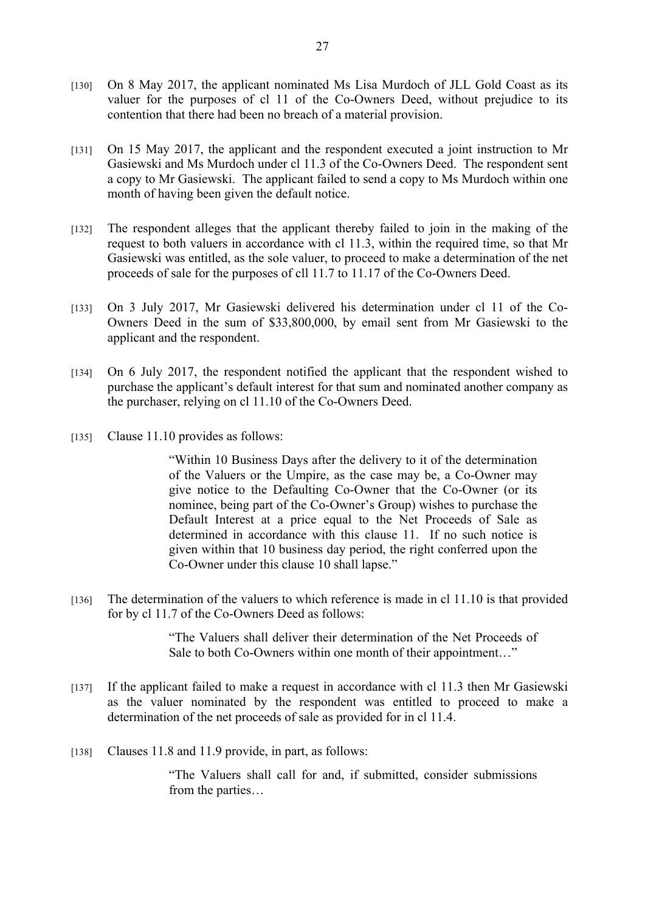- [130] On 8 May 2017, the applicant nominated Ms Lisa Murdoch of JLL Gold Coast as its valuer for the purposes of cl 11 of the Co-Owners Deed, without prejudice to its contention that there had been no breach of a material provision.
- [131] On 15 May 2017, the applicant and the respondent executed a joint instruction to Mr Gasiewski and Ms Murdoch under cl 11.3 of the Co-Owners Deed. The respondent sent a copy to Mr Gasiewski. The applicant failed to send a copy to Ms Murdoch within one month of having been given the default notice.
- [132] The respondent alleges that the applicant thereby failed to join in the making of the request to both valuers in accordance with cl 11.3, within the required time, so that Mr Gasiewski was entitled, as the sole valuer, to proceed to make a determination of the net proceeds of sale for the purposes of cll 11.7 to 11.17 of the Co-Owners Deed.
- [133] On 3 July 2017, Mr Gasiewski delivered his determination under cl 11 of the Co-Owners Deed in the sum of \$33,800,000, by email sent from Mr Gasiewski to the applicant and the respondent.
- [134] On 6 July 2017, the respondent notified the applicant that the respondent wished to purchase the applicant's default interest for that sum and nominated another company as the purchaser, relying on cl 11.10 of the Co-Owners Deed.
- [135] Clause 11.10 provides as follows:

"Within 10 Business Days after the delivery to it of the determination of the Valuers or the Umpire, as the case may be, a Co-Owner may give notice to the Defaulting Co-Owner that the Co-Owner (or its nominee, being part of the Co-Owner's Group) wishes to purchase the Default Interest at a price equal to the Net Proceeds of Sale as determined in accordance with this clause 11. If no such notice is given within that 10 business day period, the right conferred upon the Co-Owner under this clause 10 shall lapse."

[136] The determination of the valuers to which reference is made in cl 11.10 is that provided for by cl 11.7 of the Co-Owners Deed as follows:

> "The Valuers shall deliver their determination of the Net Proceeds of Sale to both Co-Owners within one month of their appointment..."

- [137] If the applicant failed to make a request in accordance with cl 11.3 then Mr Gasiewski as the valuer nominated by the respondent was entitled to proceed to make a determination of the net proceeds of sale as provided for in cl 11.4.
- [138] Clauses 11.8 and 11.9 provide, in part, as follows:

"The Valuers shall call for and, if submitted, consider submissions from the parties…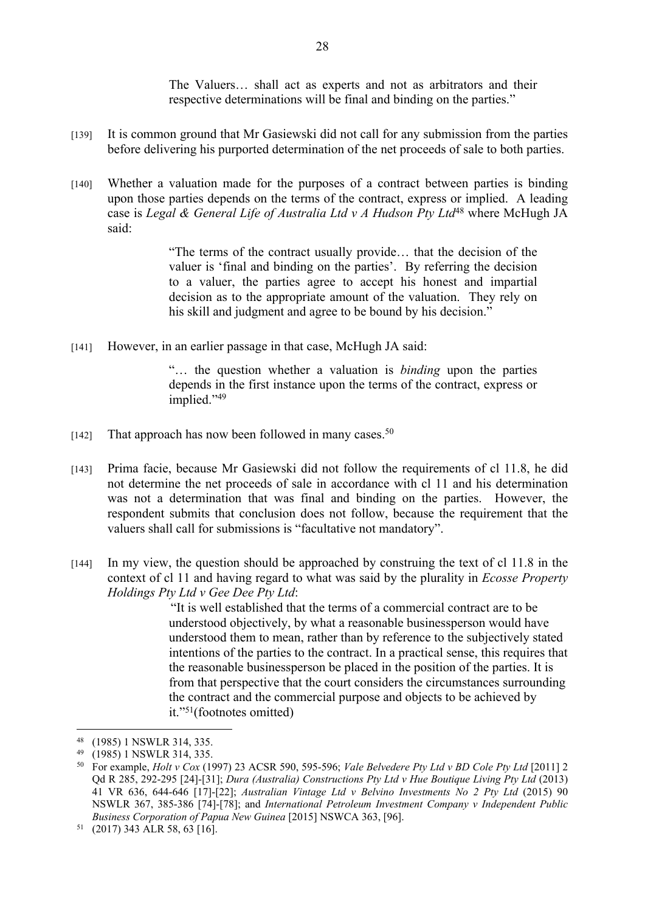The Valuers… shall act as experts and not as arbitrators and their respective determinations will be final and binding on the parties."

- [139] It is common ground that Mr Gasiewski did not call for any submission from the parties before delivering his purported determination of the net proceeds of sale to both parties.
- [140] Whether a valuation made for the purposes of a contract between parties is binding upon those parties depends on the terms of the contract, express or implied. A leading case is *Legal & General Life of Australia Ltd v A Hudson Pty Ltd*<sup>48</sup> where McHugh JA said:

"The terms of the contract usually provide… that the decision of the valuer is 'final and binding on the parties'. By referring the decision to a valuer, the parties agree to accept his honest and impartial decision as to the appropriate amount of the valuation. They rely on his skill and judgment and agree to be bound by his decision."

[141] However, in an earlier passage in that case, McHugh JA said:

"… the question whether a valuation is *binding* upon the parties depends in the first instance upon the terms of the contract, express or implied."<sup>49</sup>

- [142] That approach has now been followed in many cases.<sup>50</sup>
- [143] Prima facie, because Mr Gasiewski did not follow the requirements of cl 11.8, he did not determine the net proceeds of sale in accordance with cl 11 and his determination was not a determination that was final and binding on the parties. However, the respondent submits that conclusion does not follow, because the requirement that the valuers shall call for submissions is "facultative not mandatory".
- [144] In my view, the question should be approached by construing the text of cl 11.8 in the context of cl 11 and having regard to what was said by the plurality in *Ecosse Property Holdings Pty Ltd v Gee Dee Pty Ltd*:

 "It is well established that the terms of a commercial contract are to be understood objectively, by what a reasonable businessperson would have understood them to mean, rather than by reference to the subjectively stated intentions of the parties to the contract. In a practical sense, this requires that the reasonable businessperson be placed in the position of the parties. It is from that perspective that the court considers the circumstances surrounding the contract and the commercial purpose and objects to be achieved by it."<sup>51</sup>(footnotes omitted)

<sup>48</sup> (1985) 1 NSWLR 314, 335.

<sup>49</sup> (1985) 1 NSWLR 314, 335.

<sup>50</sup> For example, *Holt v Cox* (1997) 23 ACSR 590, 595-596; *Vale Belvedere Pty Ltd v BD Cole Pty Ltd* [2011] 2 Qd R 285, 292-295 [24]-[31]; *Dura (Australia) Constructions Pty Ltd v Hue Boutique Living Pty Ltd* (2013) 41 VR 636, 644-646 [17]-[22]; *Australian Vintage Ltd v Belvino Investments No 2 Pty Ltd* (2015) 90 NSWLR 367, 385-386 [74]-[78]; and *International Petroleum Investment Company v Independent Public Business Corporation of Papua New Guinea* [2015] NSWCA 363, [96].

<sup>51</sup> (2017) 343 ALR 58, 63 [16].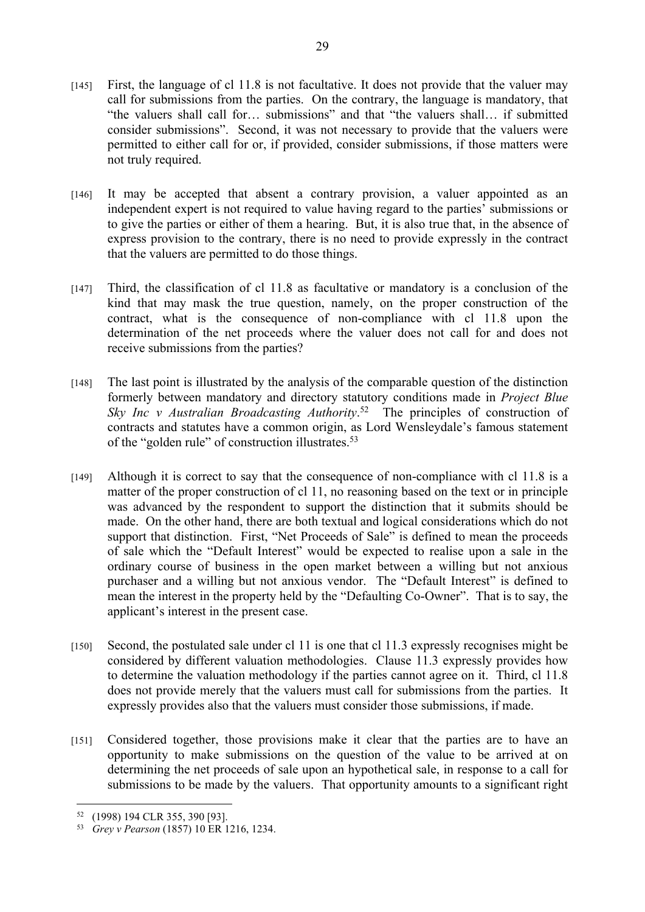- [145] First, the language of cl 11.8 is not facultative. It does not provide that the valuer may call for submissions from the parties. On the contrary, the language is mandatory, that "the valuers shall call for… submissions" and that "the valuers shall… if submitted consider submissions". Second, it was not necessary to provide that the valuers were permitted to either call for or, if provided, consider submissions, if those matters were not truly required.
- [146] It may be accepted that absent a contrary provision, a valuer appointed as an independent expert is not required to value having regard to the parties' submissions or to give the parties or either of them a hearing. But, it is also true that, in the absence of express provision to the contrary, there is no need to provide expressly in the contract that the valuers are permitted to do those things.
- [147] Third, the classification of cl 11.8 as facultative or mandatory is a conclusion of the kind that may mask the true question, namely, on the proper construction of the contract, what is the consequence of non-compliance with cl 11.8 upon the determination of the net proceeds where the valuer does not call for and does not receive submissions from the parties?
- [148] The last point is illustrated by the analysis of the comparable question of the distinction formerly between mandatory and directory statutory conditions made in *Project Blue Sky Inc v Australian Broadcasting Authority*. <sup>52</sup> The principles of construction of contracts and statutes have a common origin, as Lord Wensleydale's famous statement of the "golden rule" of construction illustrates.<sup>53</sup>
- [149] Although it is correct to say that the consequence of non-compliance with cl 11.8 is a matter of the proper construction of cl 11, no reasoning based on the text or in principle was advanced by the respondent to support the distinction that it submits should be made. On the other hand, there are both textual and logical considerations which do not support that distinction. First, "Net Proceeds of Sale" is defined to mean the proceeds of sale which the "Default Interest" would be expected to realise upon a sale in the ordinary course of business in the open market between a willing but not anxious purchaser and a willing but not anxious vendor. The "Default Interest" is defined to mean the interest in the property held by the "Defaulting Co-Owner". That is to say, the applicant's interest in the present case.
- [150] Second, the postulated sale under cl 11 is one that cl 11.3 expressly recognises might be considered by different valuation methodologies. Clause 11.3 expressly provides how to determine the valuation methodology if the parties cannot agree on it. Third, cl 11.8 does not provide merely that the valuers must call for submissions from the parties. It expressly provides also that the valuers must consider those submissions, if made.
- [151] Considered together, those provisions make it clear that the parties are to have an opportunity to make submissions on the question of the value to be arrived at on determining the net proceeds of sale upon an hypothetical sale, in response to a call for submissions to be made by the valuers. That opportunity amounts to a significant right

<sup>52</sup> (1998) 194 CLR 355, 390 [93].

<sup>53</sup> *Grey v Pearson* (1857) 10 ER 1216, 1234.